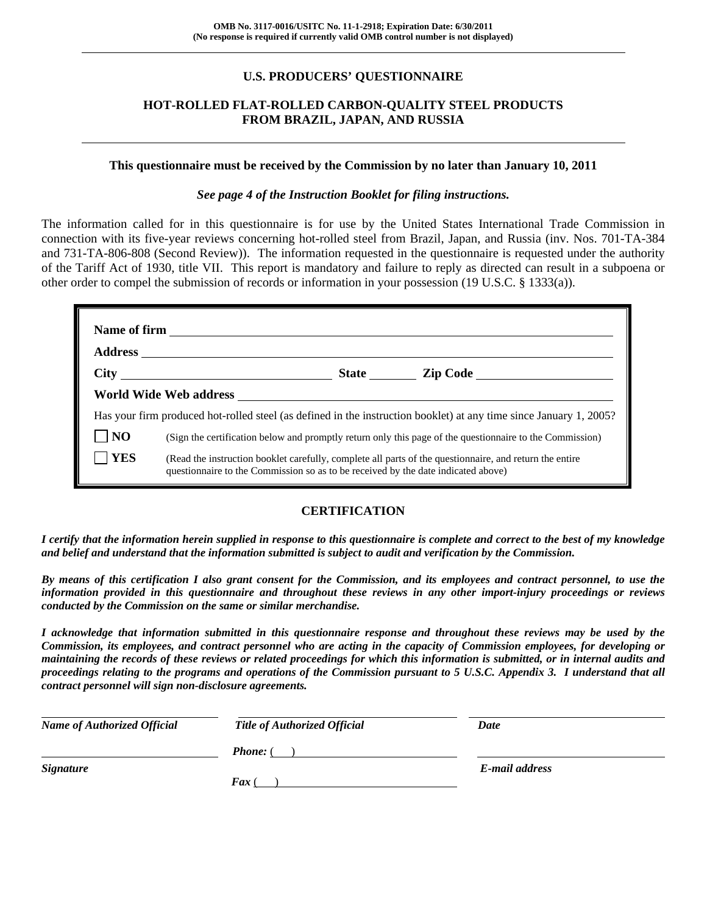# **U.S. PRODUCERS' QUESTIONNAIRE**

# **HOT-ROLLED FLAT-ROLLED CARBON-QUALITY STEEL PRODUCTS FROM BRAZIL, JAPAN, AND RUSSIA**

#### **This questionnaire must be received by the Commission by no later than January 10, 2011**

## *See page 4 of the Instruction Booklet for filing instructions.*

The information called for in this questionnaire is for use by the United States International Trade Commission in connection with its five-year reviews concerning hot-rolled steel from Brazil, Japan, and Russia (inv. Nos. 701-TA-384 and 731-TA-806-808 (Second Review)). The information requested in the questionnaire is requested under the authority of the Tariff Act of 1930, title VII. This report is mandatory and failure to reply as directed can result in a subpoena or other order to compel the submission of records or information in your possession (19 U.S.C. § 1333(a)).

|                | City State Zip Code                                                                                                                                                                          |  |
|----------------|----------------------------------------------------------------------------------------------------------------------------------------------------------------------------------------------|--|
|                |                                                                                                                                                                                              |  |
|                | Has your firm produced hot-rolled steel (as defined in the instruction booklet) at any time since January 1, 2005?                                                                           |  |
| N <sub>O</sub> | (Sign the certification below and promptly return only this page of the questionnaire to the Commission)                                                                                     |  |
| <b>YES</b>     | (Read the instruction booklet carefully, complete all parts of the questionnaire, and return the entire<br>questionnaire to the Commission so as to be received by the date indicated above) |  |

# **CERTIFICATION**

*I certify that the information herein supplied in response to this questionnaire is complete and correct to the best of my knowledge and belief and understand that the information submitted is subject to audit and verification by the Commission.* 

*By means of this certification I also grant consent for the Commission, and its employees and contract personnel, to use the information provided in this questionnaire and throughout these reviews in any other import-injury proceedings or reviews conducted by the Commission on the same or similar merchandise.* 

*I acknowledge that information submitted in this questionnaire response and throughout these reviews may be used by the Commission, its employees, and contract personnel who are acting in the capacity of Commission employees, for developing or maintaining the records of these reviews or related proceedings for which this information is submitted, or in internal audits and proceedings relating to the programs and operations of the Commission pursuant to 5 U.S.C. Appendix 3. I understand that all contract personnel will sign non-disclosure agreements.* 

| <b>Name of Authorized Official</b> | <b>Title of Authorized Official</b> | Date           |
|------------------------------------|-------------------------------------|----------------|
|                                    | <b>Phone:</b> (                     |                |
| <b>Signature</b>                   |                                     | E-mail address |
|                                    | $\boldsymbol{F}$ ax (               |                |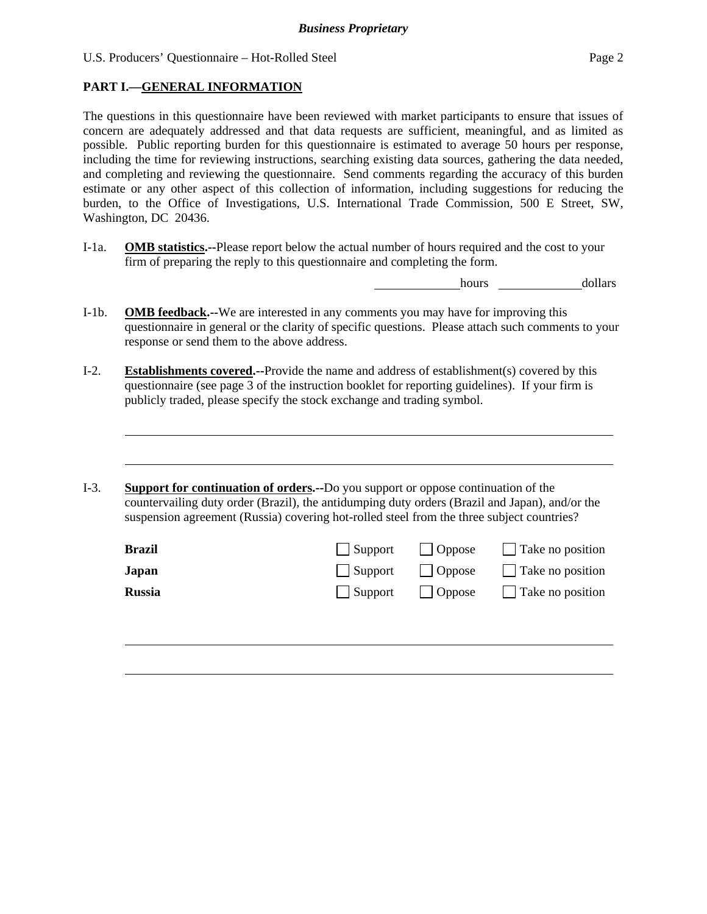# **PART I.—GENERAL INFORMATION**

 $\overline{a}$ 

 $\overline{a}$ 

The questions in this questionnaire have been reviewed with market participants to ensure that issues of concern are adequately addressed and that data requests are sufficient, meaningful, and as limited as possible. Public reporting burden for this questionnaire is estimated to average 50 hours per response, including the time for reviewing instructions, searching existing data sources, gathering the data needed, and completing and reviewing the questionnaire. Send comments regarding the accuracy of this burden estimate or any other aspect of this collection of information, including suggestions for reducing the burden, to the Office of Investigations, U.S. International Trade Commission, 500 E Street, SW, Washington, DC 20436.

I-1a. **OMB statistics.--**Please report below the actual number of hours required and the cost to your firm of preparing the reply to this questionnaire and completing the form.

hours dollars

- I-1b. **OMB feedback.--**We are interested in any comments you may have for improving this questionnaire in general or the clarity of specific questions. Please attach such comments to your response or send them to the above address.
- I-2. **Establishments covered.--**Provide the name and address of establishment(s) covered by this questionnaire (see page 3 of the instruction booklet for reporting guidelines). If your firm is publicly traded, please specify the stock exchange and trading symbol.
- I-3. **Support for continuation of orders.--**Do you support or oppose continuation of the countervailing duty order (Brazil), the antidumping duty orders (Brazil and Japan), and/or the suspension agreement (Russia) covering hot-rolled steel from the three subject countries?

| <b>Brazil</b> |                                | Support   Oppose | $\Box$ Take no position |
|---------------|--------------------------------|------------------|-------------------------|
| Japan         | Support Oppose                 |                  | $\Box$ Take no position |
| <b>Russia</b> | $\vert$ Support $\vert$ Oppose |                  | $\Box$ Take no position |
|               |                                |                  |                         |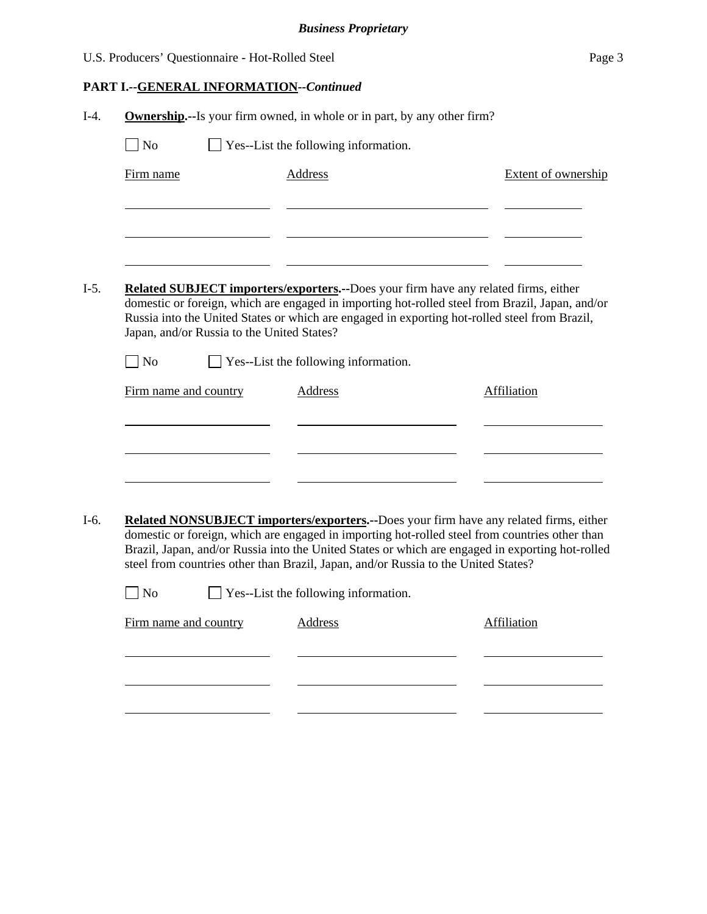| U.S. Producers' Questionnaire - Hot-Rolled Steel | Page 3 |
|--------------------------------------------------|--------|
|--------------------------------------------------|--------|

# **PART I.--GENERAL INFORMATION***--Continued*

| Firm name                   |                                            | <b>Address</b>                                                                                 | <b>Extent of ownership</b>                                                                                                                                                                       |
|-----------------------------|--------------------------------------------|------------------------------------------------------------------------------------------------|--------------------------------------------------------------------------------------------------------------------------------------------------------------------------------------------------|
|                             |                                            |                                                                                                |                                                                                                                                                                                                  |
|                             |                                            |                                                                                                |                                                                                                                                                                                                  |
|                             |                                            |                                                                                                |                                                                                                                                                                                                  |
|                             |                                            |                                                                                                | <b>Related SUBJECT importers/exporters.</b> --Does your firm have any related firms, either                                                                                                      |
|                             |                                            |                                                                                                | domestic or foreign, which are engaged in importing hot-rolled steel from Brazil, Japan, and/or<br>Russia into the United States or which are engaged in exporting hot-rolled steel from Brazil, |
|                             | Japan, and/or Russia to the United States? |                                                                                                |                                                                                                                                                                                                  |
| $\overline{\phantom{a}}$ No |                                            | Yes--List the following information.                                                           |                                                                                                                                                                                                  |
|                             | Firm name and country                      | Address                                                                                        | <b>Affiliation</b>                                                                                                                                                                               |
|                             |                                            |                                                                                                |                                                                                                                                                                                                  |
|                             |                                            |                                                                                                |                                                                                                                                                                                                  |
|                             |                                            |                                                                                                |                                                                                                                                                                                                  |
|                             |                                            |                                                                                                |                                                                                                                                                                                                  |
|                             |                                            |                                                                                                | Related NONSUBJECT importers/exporters.--Does your firm have any related firms, either                                                                                                           |
|                             |                                            |                                                                                                |                                                                                                                                                                                                  |
|                             |                                            | domestic or foreign, which are engaged in importing hot-rolled steel from countries other than |                                                                                                                                                                                                  |
|                             |                                            | steel from countries other than Brazil, Japan, and/or Russia to the United States?             | Brazil, Japan, and/or Russia into the United States or which are engaged in exporting hot-rolled                                                                                                 |
| N <sub>o</sub>              |                                            | Yes--List the following information.                                                           |                                                                                                                                                                                                  |
|                             | Firm name and country                      | <b>Address</b>                                                                                 | <b>Affiliation</b>                                                                                                                                                                               |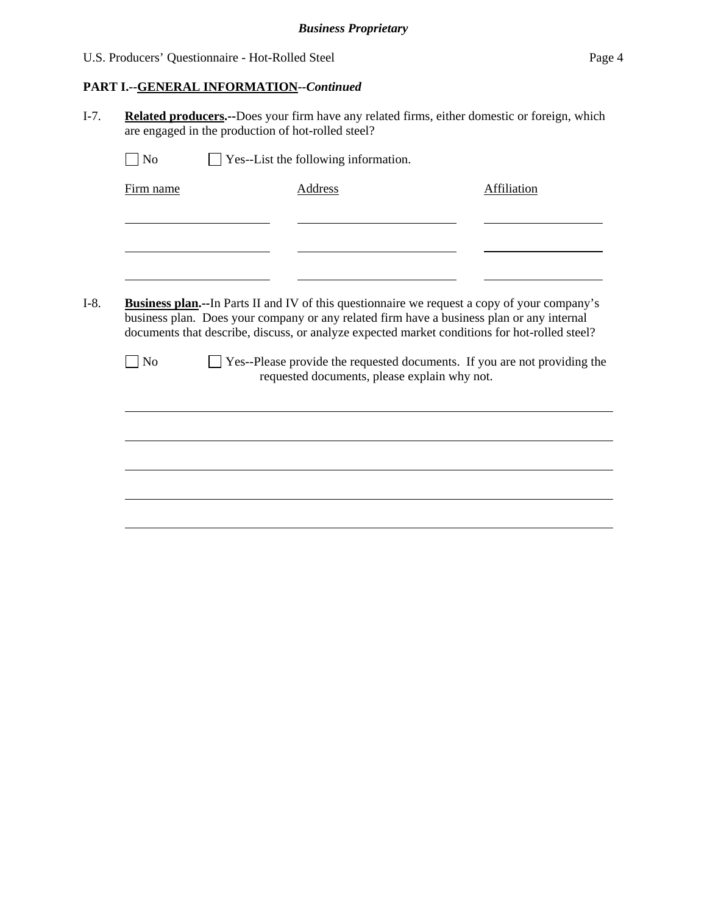# **PART I.--GENERAL INFORMATION***--Continued*

I-7. **Related producers.--**Does your firm have any related firms, either domestic or foreign, which are engaged in the production of hot-rolled steel?

| <b>Business plan.</b> --In Parts II and IV of this questionnaire we request a copy of your company's<br>business plan. Does your company or any related firm have a business plan or any internal<br>documents that describe, discuss, or analyze expected market conditions for hot-rolled steel?<br>$\blacksquare$ No<br>requested documents, please explain why not. | □ Yes--Please provide the requested documents. If you are not providing the | Firm name | Address | <b>Affiliation</b> |
|-------------------------------------------------------------------------------------------------------------------------------------------------------------------------------------------------------------------------------------------------------------------------------------------------------------------------------------------------------------------------|-----------------------------------------------------------------------------|-----------|---------|--------------------|
|                                                                                                                                                                                                                                                                                                                                                                         |                                                                             |           |         |                    |
|                                                                                                                                                                                                                                                                                                                                                                         |                                                                             |           |         |                    |
|                                                                                                                                                                                                                                                                                                                                                                         |                                                                             |           |         |                    |
|                                                                                                                                                                                                                                                                                                                                                                         |                                                                             |           |         |                    |
|                                                                                                                                                                                                                                                                                                                                                                         |                                                                             |           |         |                    |
|                                                                                                                                                                                                                                                                                                                                                                         |                                                                             |           |         |                    |
|                                                                                                                                                                                                                                                                                                                                                                         |                                                                             |           |         |                    |
|                                                                                                                                                                                                                                                                                                                                                                         |                                                                             |           |         |                    |
|                                                                                                                                                                                                                                                                                                                                                                         |                                                                             |           |         |                    |
|                                                                                                                                                                                                                                                                                                                                                                         |                                                                             |           |         |                    |
|                                                                                                                                                                                                                                                                                                                                                                         |                                                                             |           |         |                    |
|                                                                                                                                                                                                                                                                                                                                                                         |                                                                             |           |         |                    |
|                                                                                                                                                                                                                                                                                                                                                                         |                                                                             |           |         |                    |
|                                                                                                                                                                                                                                                                                                                                                                         |                                                                             |           |         |                    |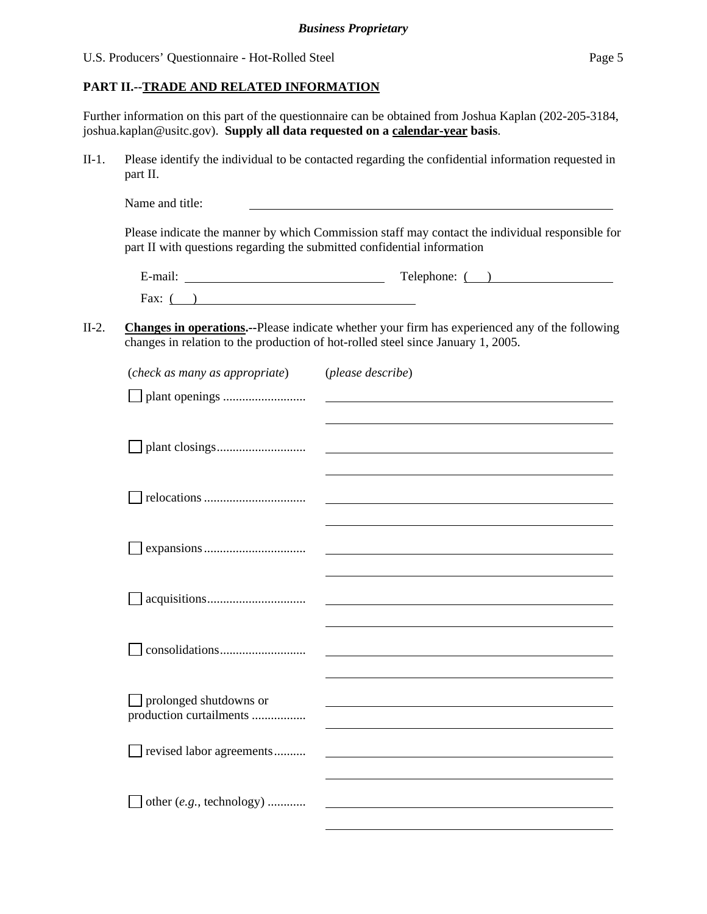# **PART II.--TRADE AND RELATED INFORMATION**

Further information on this part of the questionnaire can be obtained from Joshua Kaplan (202-205-3184, joshua.kaplan@usitc.gov). **Supply all data requested on a calendar-year basis**.

II-1. Please identify the individual to be contacted regarding the confidential information requested in part II.

Name and title:

Please indicate the manner by which Commission staff may contact the individual responsible for part II with questions regarding the submitted confidential information

| $\cdot$ $\cdot$<br>∃-mail. | Telephone: |
|----------------------------|------------|
| Fax:                       |            |

# II-2. **Changes in operations.--**Please indicate whether your firm has experienced any of the following changes in relation to the production of hot-rolled steel since January 1, 2005.

| (check as many as appropriate)                    | (please describe) |
|---------------------------------------------------|-------------------|
|                                                   |                   |
|                                                   |                   |
|                                                   |                   |
|                                                   |                   |
|                                                   |                   |
|                                                   |                   |
| prolonged shutdowns or<br>production curtailments |                   |
| revised labor agreements                          |                   |
| other (e.g., technology)                          |                   |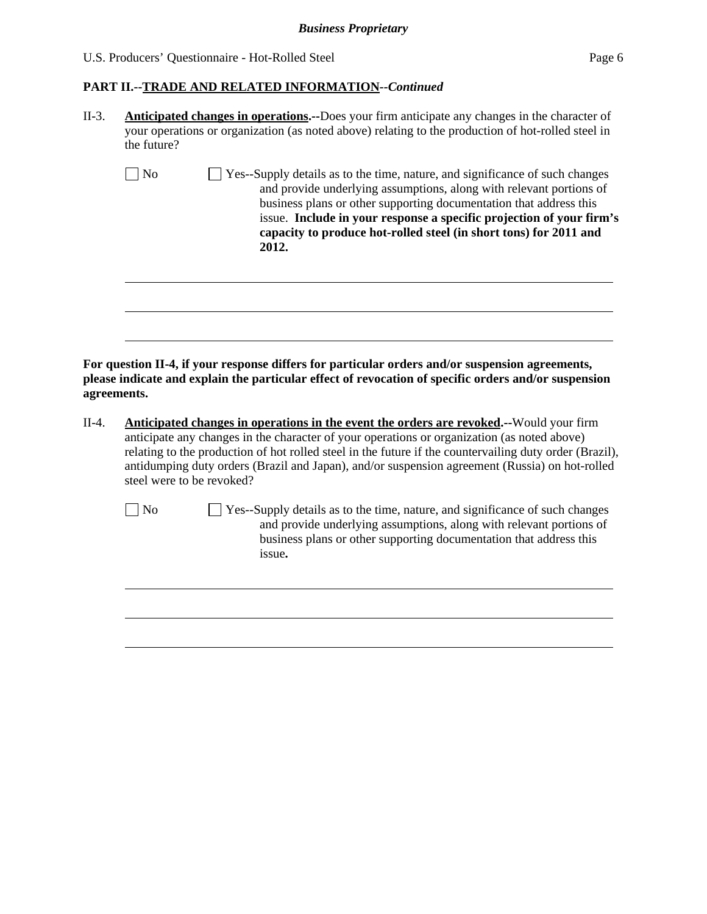l

l

# **PART II.--TRADE AND RELATED INFORMATION***--Continued*

- II-3. **Anticipated changes in operations.--**Does your firm anticipate any changes in the character of your operations or organization (as noted above) relating to the production of hot-rolled steel in the future?
	- No  $\Box$  Yes--Supply details as to the time, nature, and significance of such changes and provide underlying assumptions, along with relevant portions of business plans or other supporting documentation that address this issue. **Include in your response a specific projection of your firm's capacity to produce hot-rolled steel (in short tons) for 2011 and 2012.**

**For question II-4, if your response differs for particular orders and/or suspension agreements, please indicate and explain the particular effect of revocation of specific orders and/or suspension agreements.** 

- II-4. **Anticipated changes in operations in the event the orders are revoked.--**Would your firm anticipate any changes in the character of your operations or organization (as noted above) relating to the production of hot rolled steel in the future if the countervailing duty order (Brazil), antidumping duty orders (Brazil and Japan), and/or suspension agreement (Russia) on hot-rolled steel were to be revoked?
	- No  $\Box$  Yes--Supply details as to the time, nature, and significance of such changes and provide underlying assumptions, along with relevant portions of business plans or other supporting documentation that address this issue**.**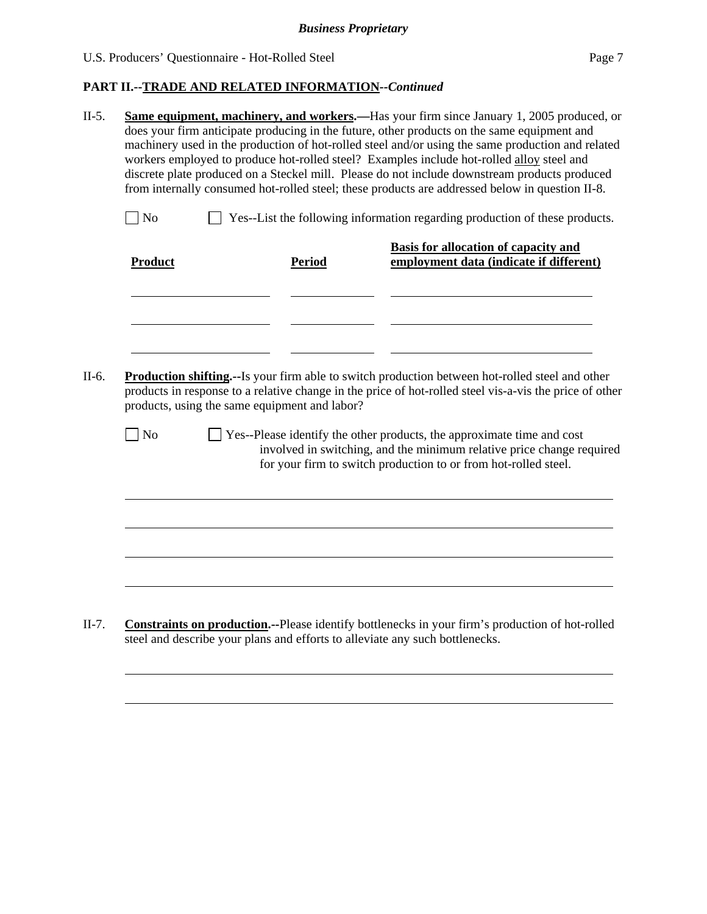l

 $\overline{a}$ 

# **PART II.--TRADE AND RELATED INFORMATION***--Continued*

- II-5. **Same equipment, machinery, and workers.—**Has your firm since January 1, 2005 produced, or does your firm anticipate producing in the future, other products on the same equipment and machinery used in the production of hot-rolled steel and/or using the same production and related workers employed to produce hot-rolled steel? Examples include hot-rolled alloy steel and discrete plate produced on a Steckel mill. Please do not include downstream products produced from internally consumed hot-rolled steel; these products are addressed below in question II-8.  $\Box$  No  $\Box$  Yes--List the following information regarding production of these products. Product Period **Basis for allocation of capacity and employment data (indicate if different)** l l l II-6. **Production shifting.--**Is your firm able to switch production between hot-rolled steel and other products in response to a relative change in the price of hot-rolled steel vis-a-vis the price of other products, using the same equipment and labor?
	- $\Box$  No  $\Box$  Yes--Please identify the other products, the approximate time and cost involved in switching, and the minimum relative price change required for your firm to switch production to or from hot-rolled steel.

II-7. **Constraints on production.--**Please identify bottlenecks in your firm's production of hot-rolled steel and describe your plans and efforts to alleviate any such bottlenecks.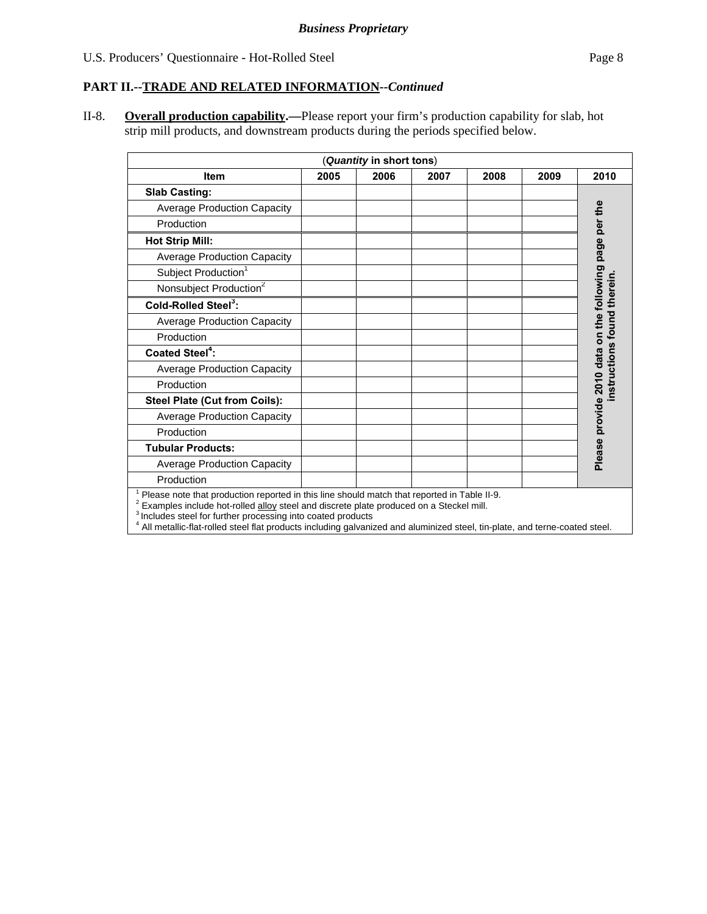# **PART II.--TRADE AND RELATED INFORMATION***--Continued*

II-8. **Overall production capability.—**Please report your firm's production capability for slab, hot strip mill products, and downstream products during the periods specified below.

|                                                                                                                                                                                                                                                                  |      | (Quantity in short tons) |      |      |      |                                                        |
|------------------------------------------------------------------------------------------------------------------------------------------------------------------------------------------------------------------------------------------------------------------|------|--------------------------|------|------|------|--------------------------------------------------------|
| <b>Item</b>                                                                                                                                                                                                                                                      | 2005 | 2006                     | 2007 | 2008 | 2009 | 2010                                                   |
| <b>Slab Casting:</b>                                                                                                                                                                                                                                             |      |                          |      |      |      |                                                        |
| <b>Average Production Capacity</b>                                                                                                                                                                                                                               |      |                          |      |      |      |                                                        |
| Production                                                                                                                                                                                                                                                       |      |                          |      |      |      |                                                        |
| <b>Hot Strip Mill:</b>                                                                                                                                                                                                                                           |      |                          |      |      |      |                                                        |
| <b>Average Production Capacity</b>                                                                                                                                                                                                                               |      |                          |      |      |      |                                                        |
| Subject Production <sup>1</sup>                                                                                                                                                                                                                                  |      |                          |      |      |      |                                                        |
| Nonsubject Production <sup>2</sup>                                                                                                                                                                                                                               |      |                          |      |      |      |                                                        |
| Cold-Rolled Steel <sup>3</sup> :                                                                                                                                                                                                                                 |      |                          |      |      |      | Please provide 2010 data on the following page per the |
| <b>Average Production Capacity</b>                                                                                                                                                                                                                               |      |                          |      |      |      |                                                        |
| Production                                                                                                                                                                                                                                                       |      |                          |      |      |      |                                                        |
| <b>Coated Steel<sup>4</sup>:</b>                                                                                                                                                                                                                                 |      |                          |      |      |      | Ö                                                      |
| <b>Average Production Capacity</b>                                                                                                                                                                                                                               |      |                          |      |      |      |                                                        |
| Production                                                                                                                                                                                                                                                       |      |                          |      |      |      |                                                        |
| Steel Plate (Cut from Coils):                                                                                                                                                                                                                                    |      |                          |      |      |      |                                                        |
| <b>Average Production Capacity</b>                                                                                                                                                                                                                               |      |                          |      |      |      |                                                        |
| Production                                                                                                                                                                                                                                                       |      |                          |      |      |      |                                                        |
| <b>Tubular Products:</b>                                                                                                                                                                                                                                         |      |                          |      |      |      |                                                        |
| <b>Average Production Capacity</b>                                                                                                                                                                                                                               |      |                          |      |      |      |                                                        |
| Production                                                                                                                                                                                                                                                       |      |                          |      |      |      |                                                        |
| Please note that production reported in this line should match that reported in Table II-9.<br>Examples include hot-rolled alloy steel and discrete plate produced on a Steckel mill.<br><sup>3</sup> Includes steel for further processing into coated products |      |                          |      |      |      |                                                        |

4 All metallic-flat-rolled steel flat products including galvanized and aluminized steel, tin-plate, and terne-coated steel.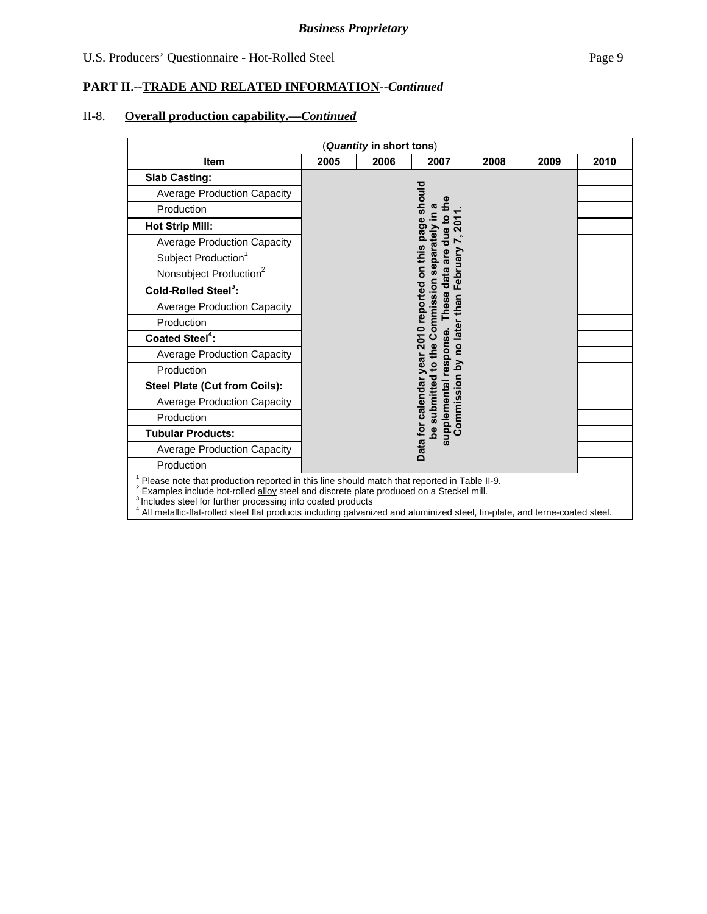# II-8. **Overall production capability.—***Continued*

|                                                                                                                                                                                                                                                                  |      | Quantity in short tons) |                                                                                        |      |      |      |
|------------------------------------------------------------------------------------------------------------------------------------------------------------------------------------------------------------------------------------------------------------------|------|-------------------------|----------------------------------------------------------------------------------------|------|------|------|
| <b>Item</b>                                                                                                                                                                                                                                                      | 2005 | 2006                    | 2007                                                                                   | 2008 | 2009 | 2010 |
| <b>Slab Casting:</b>                                                                                                                                                                                                                                             |      |                         |                                                                                        |      |      |      |
| <b>Average Production Capacity</b>                                                                                                                                                                                                                               |      |                         | should                                                                                 |      |      |      |
| Production                                                                                                                                                                                                                                                       |      |                         | ത                                                                                      |      |      |      |
| <b>Hot Strip Mill:</b>                                                                                                                                                                                                                                           |      |                         | In Viebarately<br>Data for calendar year 2010 reported on this page<br><u>ي</u><br>201 |      |      |      |
| <b>Average Production Capacity</b>                                                                                                                                                                                                                               |      |                         | data are due<br>$\mathbf{r}$                                                           |      |      |      |
| Subject Production <sup>1</sup>                                                                                                                                                                                                                                  |      |                         |                                                                                        |      |      |      |
| Nonsubject Production <sup>2</sup>                                                                                                                                                                                                                               |      |                         | February                                                                               |      |      |      |
| Cold-Rolled Steel <sup>3</sup> :                                                                                                                                                                                                                                 |      |                         | be submitted to the Commission                                                         |      |      |      |
| <b>Average Production Capacity</b>                                                                                                                                                                                                                               |      |                         | These<br>Commission by no later than                                                   |      |      |      |
| Production                                                                                                                                                                                                                                                       |      |                         |                                                                                        |      |      |      |
| <b>Coated Steel<sup>4</sup>:</b>                                                                                                                                                                                                                                 |      |                         | upplemental response.                                                                  |      |      |      |
| <b>Average Production Capacity</b>                                                                                                                                                                                                                               |      |                         |                                                                                        |      |      |      |
| Production                                                                                                                                                                                                                                                       |      |                         |                                                                                        |      |      |      |
| Steel Plate (Cut from Coils):                                                                                                                                                                                                                                    |      |                         |                                                                                        |      |      |      |
| <b>Average Production Capacity</b>                                                                                                                                                                                                                               |      |                         |                                                                                        |      |      |      |
| Production                                                                                                                                                                                                                                                       |      |                         |                                                                                        |      |      |      |
| <b>Tubular Products:</b>                                                                                                                                                                                                                                         |      |                         |                                                                                        |      |      |      |
| <b>Average Production Capacity</b>                                                                                                                                                                                                                               |      |                         | $\boldsymbol{\omega}$                                                                  |      |      |      |
| Production                                                                                                                                                                                                                                                       |      |                         |                                                                                        |      |      |      |
| Please note that production reported in this line should match that reported in Table II-9.<br>Examples include hot-rolled alloy steel and discrete plate produced on a Steckel mill.<br><sup>3</sup> Includes steel for further processing into coated products |      |                         |                                                                                        |      |      |      |

4 All metallic-flat-rolled steel flat products including galvanized and aluminized steel, tin-plate, and terne-coated steel.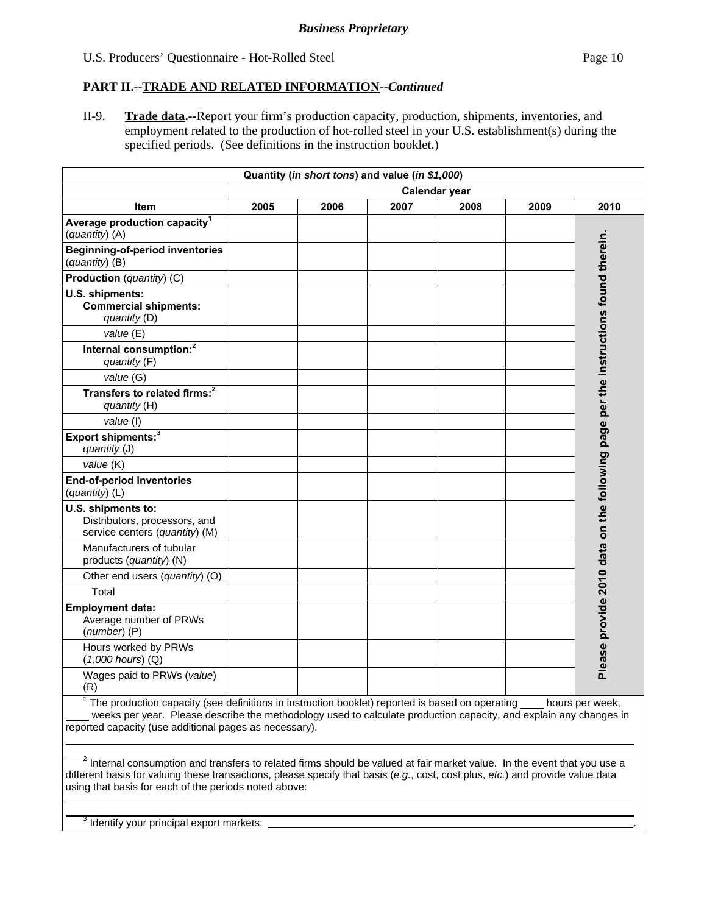II-9. **Trade data.--**Report your firm's production capacity, production, shipments, inventories, and employment related to the production of hot-rolled steel in your U.S. establishment(s) during the specified periods. (See definitions in the instruction booklet.)

|                                                                                                                                                                                                                                                                                             |                      |      | Quantity (in short tons) and value (in \$1,000) |      |      |                                                                                    |
|---------------------------------------------------------------------------------------------------------------------------------------------------------------------------------------------------------------------------------------------------------------------------------------------|----------------------|------|-------------------------------------------------|------|------|------------------------------------------------------------------------------------|
|                                                                                                                                                                                                                                                                                             | <b>Calendar year</b> |      |                                                 |      |      |                                                                                    |
| <b>Item</b>                                                                                                                                                                                                                                                                                 | 2005                 | 2006 | 2007                                            | 2008 | 2009 | 2010                                                                               |
| Average production capacity <sup>1</sup><br>(quantity) (A)                                                                                                                                                                                                                                  |                      |      |                                                 |      |      |                                                                                    |
| <b>Beginning-of-period inventories</b><br>(quantity) (B)                                                                                                                                                                                                                                    |                      |      |                                                 |      |      |                                                                                    |
| Production (quantity) (C)                                                                                                                                                                                                                                                                   |                      |      |                                                 |      |      |                                                                                    |
| U.S. shipments:<br><b>Commercial shipments:</b><br>quantity (D)                                                                                                                                                                                                                             |                      |      |                                                 |      |      | Please provide 2010 data on the following page per the instructions found therein. |
| value (E)                                                                                                                                                                                                                                                                                   |                      |      |                                                 |      |      |                                                                                    |
| Internal consumption: <sup>2</sup><br>quantity (F)                                                                                                                                                                                                                                          |                      |      |                                                 |      |      |                                                                                    |
| value (G)                                                                                                                                                                                                                                                                                   |                      |      |                                                 |      |      |                                                                                    |
| Transfers to related firms: <sup>2</sup><br>quantity (H)                                                                                                                                                                                                                                    |                      |      |                                                 |      |      |                                                                                    |
| value (I)                                                                                                                                                                                                                                                                                   |                      |      |                                                 |      |      |                                                                                    |
| Export shipments: <sup>3</sup><br>quantity (J)                                                                                                                                                                                                                                              |                      |      |                                                 |      |      |                                                                                    |
| value (K)                                                                                                                                                                                                                                                                                   |                      |      |                                                 |      |      |                                                                                    |
| <b>End-of-period inventories</b><br>(quantity) (L)                                                                                                                                                                                                                                          |                      |      |                                                 |      |      |                                                                                    |
| U.S. shipments to:<br>Distributors, processors, and<br>service centers (quantity) (M)                                                                                                                                                                                                       |                      |      |                                                 |      |      |                                                                                    |
| Manufacturers of tubular<br>products (quantity) (N)                                                                                                                                                                                                                                         |                      |      |                                                 |      |      |                                                                                    |
| Other end users (quantity) (O)                                                                                                                                                                                                                                                              |                      |      |                                                 |      |      |                                                                                    |
| Total                                                                                                                                                                                                                                                                                       |                      |      |                                                 |      |      |                                                                                    |
| <b>Employment data:</b><br>Average number of PRWs<br>$(number)$ (P)                                                                                                                                                                                                                         |                      |      |                                                 |      |      |                                                                                    |
| Hours worked by PRWs<br>$(1,000$ hours) $(Q)$                                                                                                                                                                                                                                               |                      |      |                                                 |      |      |                                                                                    |
| Wages paid to PRWs (value)<br>(R)                                                                                                                                                                                                                                                           |                      |      |                                                 |      |      |                                                                                    |
| <sup>1</sup> The production capacity (see definitions in instruction booklet) reported is based on operating<br>weeks per year. Please describe the methodology used to calculate production capacity, and explain any changes in<br>reported capacity (use additional pages as necessary). |                      |      |                                                 |      |      | hours per week,                                                                    |

 $^2$  Internal consumption and transfers to related firms should be valued at fair market value. In the event that you use a different basis for valuing these transactions, please specify that basis (*e.g.*, cost, cost plus, *etc.*) and provide value data using that basis for each of the periods noted above:

 $3$  Identify your principal export markets:  $\Box$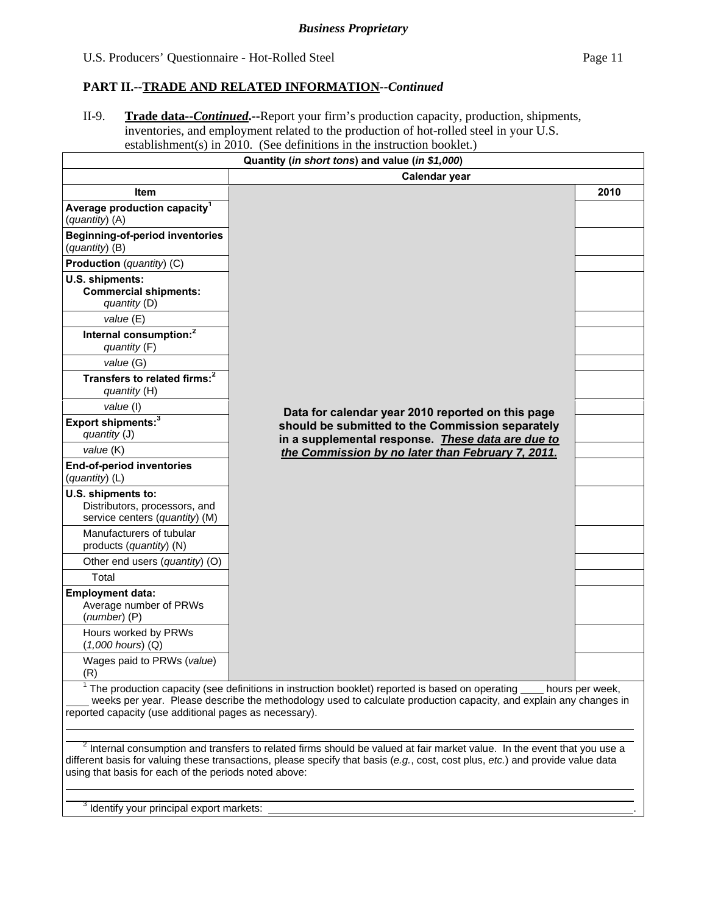II-9. **Trade data--***Continued***.--**Report your firm's production capacity, production, shipments, inventories, and employment related to the production of hot-rolled steel in your U.S. establishment(s) in 2010. (See definitions in the instruction booklet.)

|                                                                                                                                                                                                                                                                                                                                | Quantity (in short tons) and value (in \$1,000)                                                                                                                                                                                                              |      |  |  |  |  |  |
|--------------------------------------------------------------------------------------------------------------------------------------------------------------------------------------------------------------------------------------------------------------------------------------------------------------------------------|--------------------------------------------------------------------------------------------------------------------------------------------------------------------------------------------------------------------------------------------------------------|------|--|--|--|--|--|
|                                                                                                                                                                                                                                                                                                                                | Calendar year                                                                                                                                                                                                                                                |      |  |  |  |  |  |
| ltem                                                                                                                                                                                                                                                                                                                           |                                                                                                                                                                                                                                                              | 2010 |  |  |  |  |  |
| Average production capacity <sup>1</sup><br>(quantity) (A)                                                                                                                                                                                                                                                                     |                                                                                                                                                                                                                                                              |      |  |  |  |  |  |
| <b>Beginning-of-period inventories</b><br>(quantity) (B)                                                                                                                                                                                                                                                                       |                                                                                                                                                                                                                                                              |      |  |  |  |  |  |
| Production (quantity) (C)                                                                                                                                                                                                                                                                                                      |                                                                                                                                                                                                                                                              |      |  |  |  |  |  |
| U.S. shipments:<br><b>Commercial shipments:</b><br>quantity (D)                                                                                                                                                                                                                                                                |                                                                                                                                                                                                                                                              |      |  |  |  |  |  |
| value (E)                                                                                                                                                                                                                                                                                                                      |                                                                                                                                                                                                                                                              |      |  |  |  |  |  |
| Internal consumption: <sup>2</sup><br>quantity (F)                                                                                                                                                                                                                                                                             |                                                                                                                                                                                                                                                              |      |  |  |  |  |  |
| value (G)                                                                                                                                                                                                                                                                                                                      |                                                                                                                                                                                                                                                              |      |  |  |  |  |  |
| Transfers to related firms: <sup>2</sup><br>quantity (H)                                                                                                                                                                                                                                                                       |                                                                                                                                                                                                                                                              |      |  |  |  |  |  |
| value (I)                                                                                                                                                                                                                                                                                                                      | Data for calendar year 2010 reported on this page                                                                                                                                                                                                            |      |  |  |  |  |  |
| Export shipments: <sup>3</sup><br>quantity (J)                                                                                                                                                                                                                                                                                 | should be submitted to the Commission separately<br>in a supplemental response. These data are due to                                                                                                                                                        |      |  |  |  |  |  |
| value (K)                                                                                                                                                                                                                                                                                                                      | the Commission by no later than February 7, 2011.                                                                                                                                                                                                            |      |  |  |  |  |  |
| End-of-period inventories<br>(quantity) (L)                                                                                                                                                                                                                                                                                    |                                                                                                                                                                                                                                                              |      |  |  |  |  |  |
| U.S. shipments to:<br>Distributors, processors, and<br>service centers (quantity) (M)                                                                                                                                                                                                                                          |                                                                                                                                                                                                                                                              |      |  |  |  |  |  |
| Manufacturers of tubular<br>products (quantity) (N)                                                                                                                                                                                                                                                                            |                                                                                                                                                                                                                                                              |      |  |  |  |  |  |
| Other end users (quantity) (O)                                                                                                                                                                                                                                                                                                 |                                                                                                                                                                                                                                                              |      |  |  |  |  |  |
| Total                                                                                                                                                                                                                                                                                                                          |                                                                                                                                                                                                                                                              |      |  |  |  |  |  |
| <b>Employment data:</b><br>Average number of PRWs<br>$(number)$ (P)                                                                                                                                                                                                                                                            |                                                                                                                                                                                                                                                              |      |  |  |  |  |  |
| Hours worked by PRWs<br>$(1,000$ hours) $(Q)$                                                                                                                                                                                                                                                                                  |                                                                                                                                                                                                                                                              |      |  |  |  |  |  |
| Wages paid to PRWs (value)<br>(R)                                                                                                                                                                                                                                                                                              |                                                                                                                                                                                                                                                              |      |  |  |  |  |  |
| $1$ The production capacity (see definitions in instruction booklet) reported is based on operating $\overline{\phantom{a}}$<br>hours per week,<br>weeks per year. Please describe the methodology used to calculate production capacity, and explain any changes in<br>reported capacity (use additional pages as necessary). |                                                                                                                                                                                                                                                              |      |  |  |  |  |  |
| using that basis for each of the periods noted above:                                                                                                                                                                                                                                                                          | $2$ Internal consumption and transfers to related firms should be valued at fair market value. In the event that you use a<br>different basis for valuing these transactions, please specify that basis (e.g., cost, cost plus, etc.) and provide value data |      |  |  |  |  |  |

#### $3$  Identify your principal export markets:  $\Box$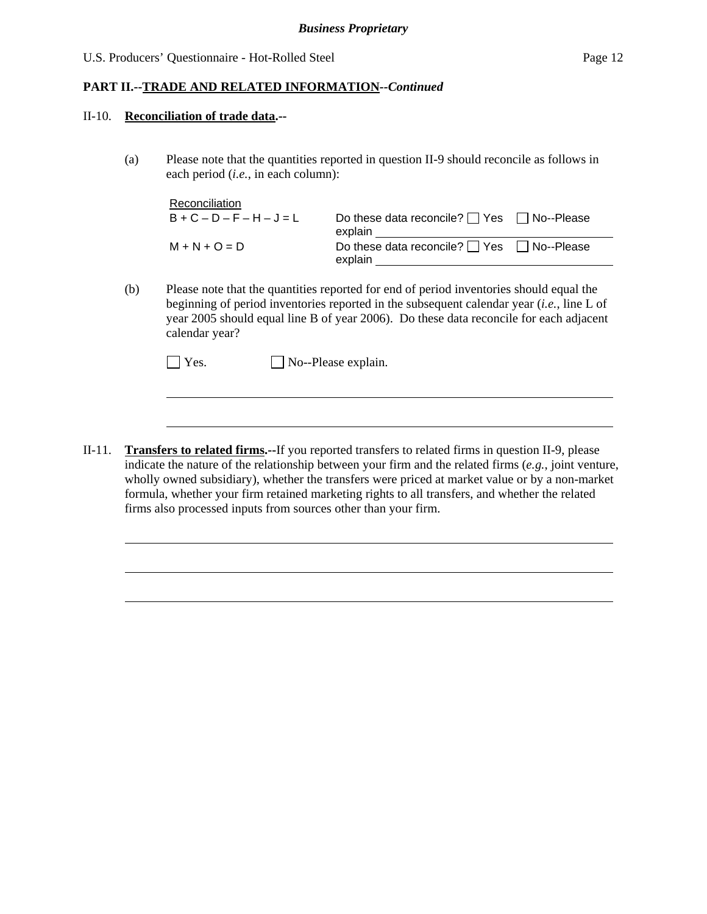#### II-10. **Reconciliation of trade data.--**

l

l

(a) Please note that the quantities reported in question II-9 should reconcile as follows in each period (*i.e.*, in each column):

| <b>Reconciliation</b> |                                                                  |  |
|-----------------------|------------------------------------------------------------------|--|
| $B+C-D-F-H-J=L$       | Do these data reconcile? $\Box$ Yes $\Box$ No--Please<br>explain |  |
| $M + N + O = D$       | Do these data reconcile? $\Box$ Yes $\Box$ No--Please<br>explain |  |

(b) Please note that the quantities reported for end of period inventories should equal the beginning of period inventories reported in the subsequent calendar year (*i.e.*, line L of year 2005 should equal line B of year 2006). Do these data reconcile for each adjacent calendar year?

| $\exists$ Yes. | $\Box$ No--Please explain. |
|----------------|----------------------------|
|----------------|----------------------------|

II-11. **Transfers to related firms.--**If you reported transfers to related firms in question II-9, please indicate the nature of the relationship between your firm and the related firms (*e.g.*, joint venture, wholly owned subsidiary), whether the transfers were priced at market value or by a non-market formula, whether your firm retained marketing rights to all transfers, and whether the related firms also processed inputs from sources other than your firm.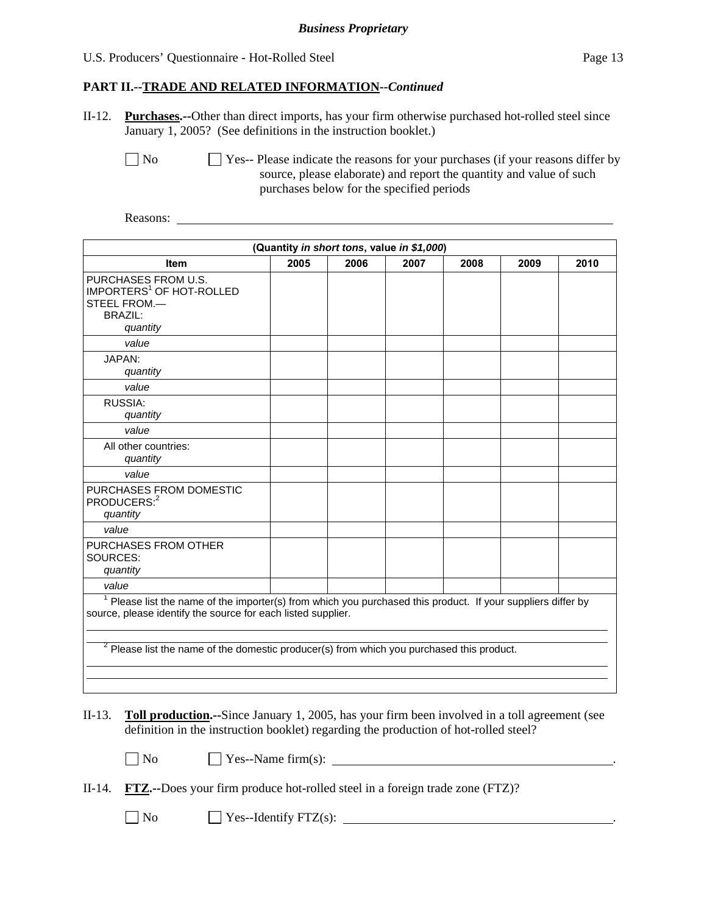# **PART II.--TRADE AND RELATED INFORMATION***--Continued*

II-12. **Purchases.--**Other than direct imports, has your firm otherwise purchased hot-rolled steel since January 1, 2005? (See definitions in the instruction booklet.)

No Ses-- Please indicate the reasons for your purchases (if your reasons differ by source, please elaborate) and report the quantity and value of such purchases below for the specified periods

Reasons:

| (Quantity in short tons, value in \$1,000)                                                                                                                                              |      |      |      |      |      |      |
|-----------------------------------------------------------------------------------------------------------------------------------------------------------------------------------------|------|------|------|------|------|------|
| <b>Item</b>                                                                                                                                                                             | 2005 | 2006 | 2007 | 2008 | 2009 | 2010 |
| PURCHASES FROM U.S.<br>IMPORTERS <sup>1</sup> OF HOT-ROLLED<br>STEEL FROM.-<br><b>BRAZIL:</b><br>quantity                                                                               |      |      |      |      |      |      |
| value                                                                                                                                                                                   |      |      |      |      |      |      |
| JAPAN:<br>quantity                                                                                                                                                                      |      |      |      |      |      |      |
| value                                                                                                                                                                                   |      |      |      |      |      |      |
| RUSSIA:<br>quantity                                                                                                                                                                     |      |      |      |      |      |      |
| value                                                                                                                                                                                   |      |      |      |      |      |      |
| All other countries:<br>quantity                                                                                                                                                        |      |      |      |      |      |      |
| value                                                                                                                                                                                   |      |      |      |      |      |      |
| PURCHASES FROM DOMESTIC<br>PRODUCERS: <sup>2</sup><br>quantity                                                                                                                          |      |      |      |      |      |      |
| value                                                                                                                                                                                   |      |      |      |      |      |      |
| PURCHASES FROM OTHER<br>SOURCES:<br>quantity                                                                                                                                            |      |      |      |      |      |      |
| value                                                                                                                                                                                   |      |      |      |      |      |      |
| <sup>1</sup> Please list the name of the importer(s) from which you purchased this product. If your suppliers differ by<br>source, please identify the source for each listed supplier. |      |      |      |      |      |      |
| $2$ Please list the name of the domestic producer(s) from which you purchased this product.                                                                                             |      |      |      |      |      |      |

II-13. **Toll production.--**Since January 1, 2005, has your firm been involved in a toll agreement (see definition in the instruction booklet) regarding the production of hot-rolled steel?

| $\Box$ No | $\angle$ Yes--Name firm(s): |  |
|-----------|-----------------------------|--|
|-----------|-----------------------------|--|

|  | II-14. $\overline{FTZ}$ .--Does your firm produce hot-rolled steel in a foreign trade zone (FTZ)? |  |  |  |  |
|--|---------------------------------------------------------------------------------------------------|--|--|--|--|
|--|---------------------------------------------------------------------------------------------------|--|--|--|--|

 $\Box$  No  $\Box$  Yes--Identify FTZ(s):  $\Box$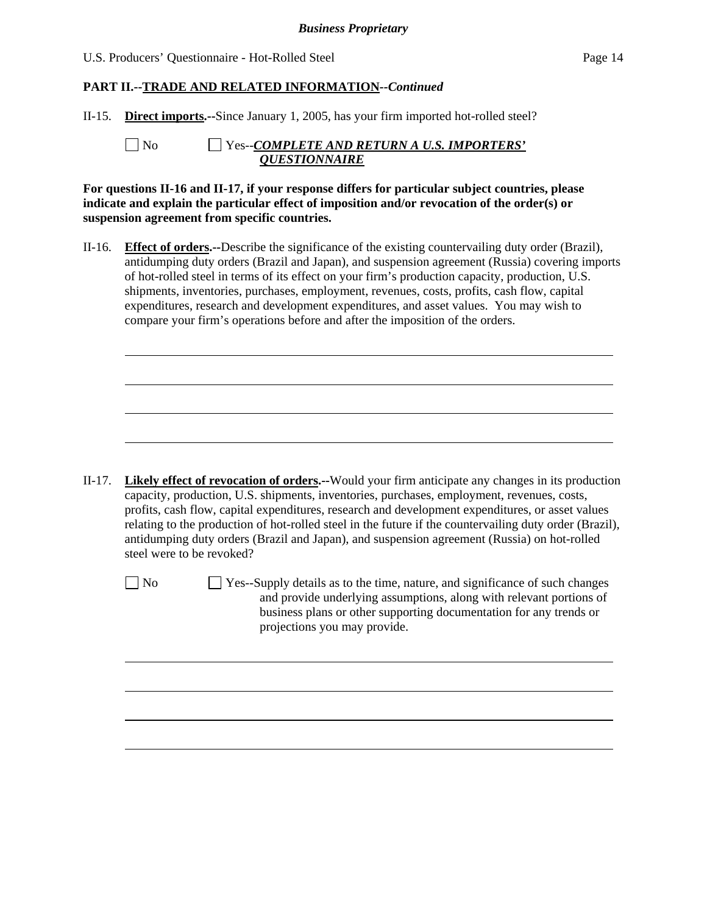II-15. **Direct imports.--**Since January 1, 2005, has your firm imported hot-rolled steel?

 $\overline{a}$ 

l

 No Yes--*COMPLETE AND RETURN A U.S. IMPORTERS' QUESTIONNAIRE*

**For questions II-16 and II-17, if your response differs for particular subject countries, please indicate and explain the particular effect of imposition and/or revocation of the order(s) or suspension agreement from specific countries.**

II-16. **Effect of orders.--**Describe the significance of the existing countervailing duty order (Brazil), antidumping duty orders (Brazil and Japan), and suspension agreement (Russia) covering imports of hot-rolled steel in terms of its effect on your firm's production capacity, production, U.S. shipments, inventories, purchases, employment, revenues, costs, profits, cash flow, capital expenditures, research and development expenditures, and asset values. You may wish to compare your firm's operations before and after the imposition of the orders.

II-17. **Likely effect of revocation of orders.--**Would your firm anticipate any changes in its production capacity, production, U.S. shipments, inventories, purchases, employment, revenues, costs, profits, cash flow, capital expenditures, research and development expenditures, or asset values relating to the production of hot-rolled steel in the future if the countervailing duty order (Brazil), antidumping duty orders (Brazil and Japan), and suspension agreement (Russia) on hot-rolled steel were to be revoked?

 $\Box$  No  $\Box$  Yes--Supply details as to the time, nature, and significance of such changes and provide underlying assumptions, along with relevant portions of business plans or other supporting documentation for any trends or projections you may provide.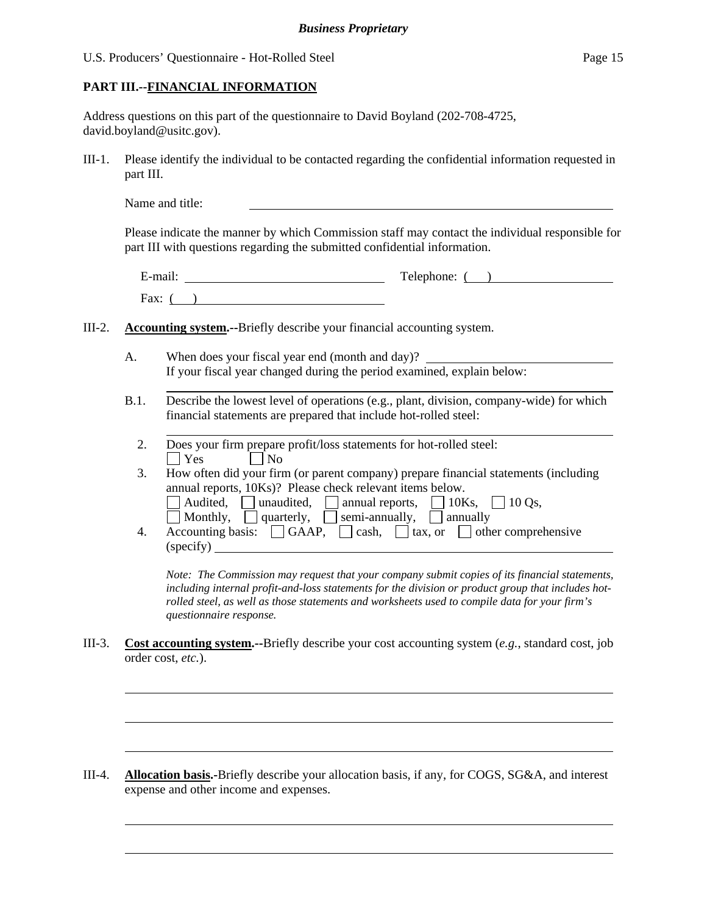# **PART III.--FINANCIAL INFORMATION**

l

 $\overline{a}$ 

| Address questions on this part of the questionnaire to David Boyland (202-708-4725, |  |
|-------------------------------------------------------------------------------------|--|
| david.boyland@usitc.gov).                                                           |  |

III-1. Please identify the individual to be contacted regarding the confidential information requested in part III.

|          |      | Name and title:                                                                                                                                                                                                                                                                                                                 |
|----------|------|---------------------------------------------------------------------------------------------------------------------------------------------------------------------------------------------------------------------------------------------------------------------------------------------------------------------------------|
|          |      | Please indicate the manner by which Commission staff may contact the individual responsible for<br>part III with questions regarding the submitted confidential information.                                                                                                                                                    |
|          |      | Telephone: ()<br>Fax: $($ $)$                                                                                                                                                                                                                                                                                                   |
| $III-2.$ |      | <b>Accounting system.</b> --Briefly describe your financial accounting system.                                                                                                                                                                                                                                                  |
|          | А.   | When does your fiscal year end (month and day)?<br>If your fiscal year changed during the period examined, explain below:                                                                                                                                                                                                       |
|          | B.1. | Describe the lowest level of operations (e.g., plant, division, company-wide) for which<br>financial statements are prepared that include hot-rolled steel:                                                                                                                                                                     |
|          | 2.   | Does your firm prepare profit/loss statements for hot-rolled steel:<br>$\Box$ Yes<br>$\Box$ No                                                                                                                                                                                                                                  |
|          | 3.   | How often did your firm (or parent company) prepare financial statements (including<br>annual reports, 10Ks)? Please check relevant items below.<br>$\Box$ Audited, $\Box$ unaudited, $\Box$ annual reports, $\Box$ 10Ks, $\Box$ 10Qs,<br>$\Box$ Monthly, $\Box$ quarterly, $\Box$ semi-annually, $\Box$ annually               |
|          | 4.   | Accounting basis: $\Box$ GAAP, $\Box$ cash, $\Box$ tax, or $\Box$ other comprehensive<br>(specify)                                                                                                                                                                                                                              |
|          |      | Note: The Commission may request that your company submit copies of its financial statements,<br>including internal profit-and-loss statements for the division or product group that includes hot-<br>rolled steel, as well as those statements and worksheets used to compile data for your firm's<br>questionnaire response. |
| III-3.   |      | <b>Cost accounting system.</b> --Briefly describe your cost accounting system (e.g., standard cost, job<br>order cost, etc.).                                                                                                                                                                                                   |

III-4. **Allocation basis.-**Briefly describe your allocation basis, if any, for COGS, SG&A, and interest expense and other income and expenses.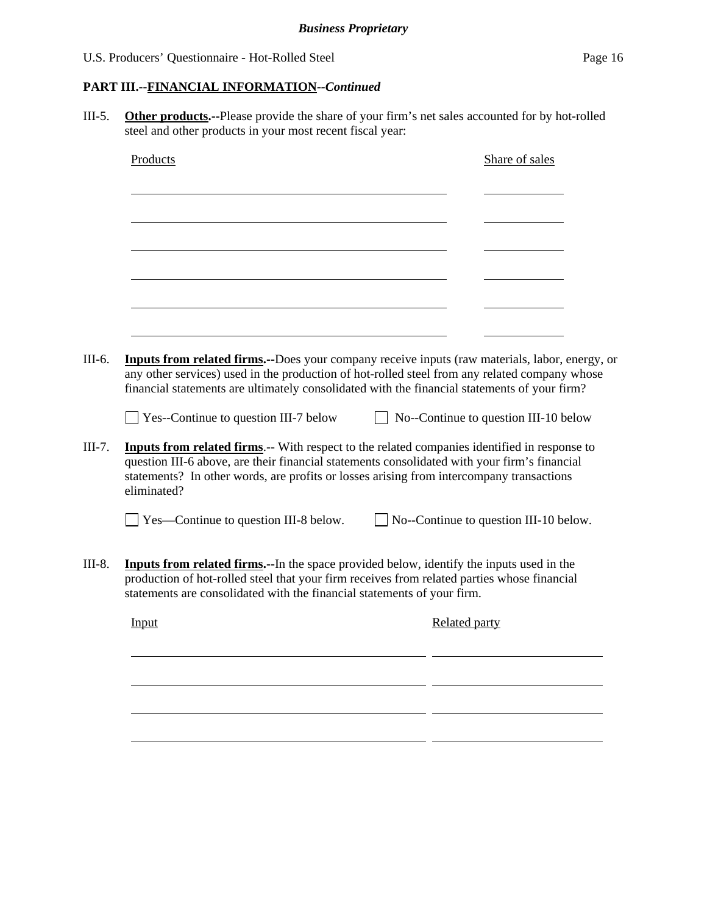# **PART III.--FINANCIAL INFORMATION***--Continued*

III-5. **Other products.--**Please provide the share of your firm's net sales accounted for by hot-rolled steel and other products in your most recent fiscal year:

| Products                                                                                                                                                                                                                                                                                                        | Share of sales                                |  |
|-----------------------------------------------------------------------------------------------------------------------------------------------------------------------------------------------------------------------------------------------------------------------------------------------------------------|-----------------------------------------------|--|
|                                                                                                                                                                                                                                                                                                                 |                                               |  |
|                                                                                                                                                                                                                                                                                                                 |                                               |  |
|                                                                                                                                                                                                                                                                                                                 |                                               |  |
|                                                                                                                                                                                                                                                                                                                 |                                               |  |
|                                                                                                                                                                                                                                                                                                                 |                                               |  |
| Inputs from related firms.--Does your company receive inputs (raw materials, labor, energy, or<br>any other services) used in the production of hot-rolled steel from any related company whose<br>financial statements are ultimately consolidated with the financial statements of your firm?                 |                                               |  |
| $\Box$ Yes--Continue to question III-7 below                                                                                                                                                                                                                                                                    | $\Box$ No--Continue to question III-10 below  |  |
| <b>Inputs from related firms.</b> -- With respect to the related companies identified in response to<br>question III-6 above, are their financial statements consolidated with your firm's financial<br>statements? In other words, are profits or losses arising from intercompany transactions<br>eliminated? |                                               |  |
| Yes—Continue to question III-8 below.                                                                                                                                                                                                                                                                           | $\Box$ No--Continue to question III-10 below. |  |
| <b>Inputs from related firms.</b> --In the space provided below, identify the inputs used in the<br>production of hot-rolled steel that your firm receives from related parties whose financial<br>statements are consolidated with the financial statements of your firm.                                      |                                               |  |
| Input                                                                                                                                                                                                                                                                                                           | Related party                                 |  |
|                                                                                                                                                                                                                                                                                                                 |                                               |  |
|                                                                                                                                                                                                                                                                                                                 |                                               |  |
|                                                                                                                                                                                                                                                                                                                 |                                               |  |
|                                                                                                                                                                                                                                                                                                                 |                                               |  |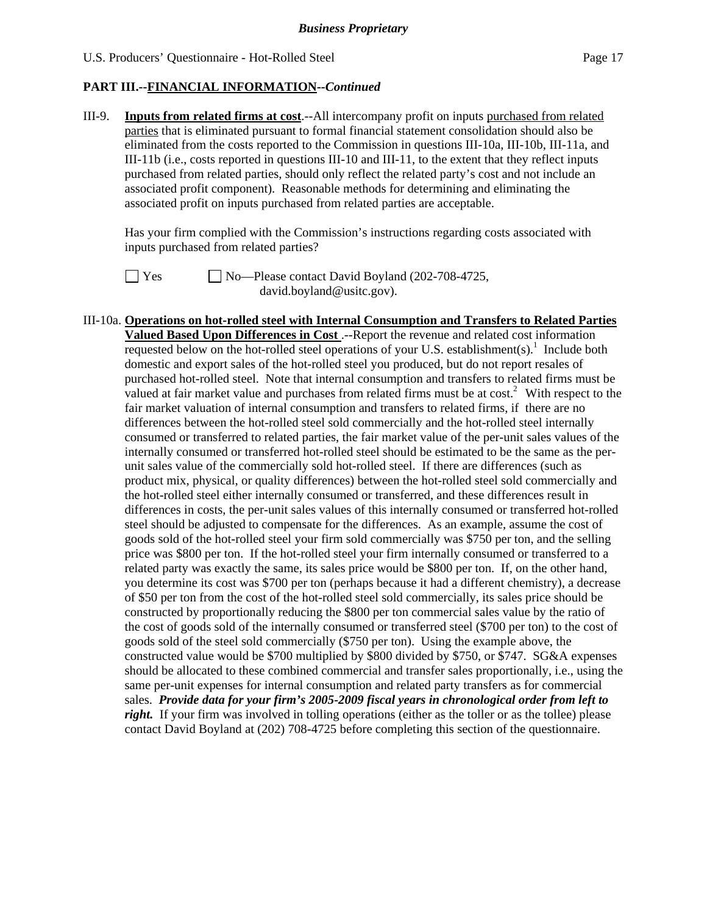III-9. **Inputs from related firms at cost**.--All intercompany profit on inputs purchased from related parties that is eliminated pursuant to formal financial statement consolidation should also be eliminated from the costs reported to the Commission in questions III-10a, III-10b, III-11a, and III-11b (i.e., costs reported in questions III-10 and III-11, to the extent that they reflect inputs purchased from related parties, should only reflect the related party's cost and not include an associated profit component). Reasonable methods for determining and eliminating the associated profit on inputs purchased from related parties are acceptable.

 Has your firm complied with the Commission's instructions regarding costs associated with inputs purchased from related parties?



 $\Box$  Yes  $\Box$  No—Please contact David Boyland (202-708-4725, david.boyland@usitc.gov).

III-10a. **Operations on hot-rolled steel with Internal Consumption and Transfers to Related Parties Valued Based Upon Differences in Cost** .--Report the revenue and related cost information requested below on the hot-rolled steel operations of your U.S. establishment(s).<sup>1</sup> Include both domestic and export sales of the hot-rolled steel you produced, but do not report resales of purchased hot-rolled steel. Note that internal consumption and transfers to related firms must be valued at fair market value and purchases from related firms must be at  $cost^2$ . With respect to the fair market valuation of internal consumption and transfers to related firms, if there are no differences between the hot-rolled steel sold commercially and the hot-rolled steel internally consumed or transferred to related parties, the fair market value of the per-unit sales values of the internally consumed or transferred hot-rolled steel should be estimated to be the same as the perunit sales value of the commercially sold hot-rolled steel. If there are differences (such as product mix, physical, or quality differences) between the hot-rolled steel sold commercially and the hot-rolled steel either internally consumed or transferred, and these differences result in differences in costs, the per-unit sales values of this internally consumed or transferred hot-rolled steel should be adjusted to compensate for the differences. As an example, assume the cost of goods sold of the hot-rolled steel your firm sold commercially was \$750 per ton, and the selling price was \$800 per ton. If the hot-rolled steel your firm internally consumed or transferred to a related party was exactly the same, its sales price would be \$800 per ton. If, on the other hand, you determine its cost was \$700 per ton (perhaps because it had a different chemistry), a decrease of \$50 per ton from the cost of the hot-rolled steel sold commercially, its sales price should be constructed by proportionally reducing the \$800 per ton commercial sales value by the ratio of the cost of goods sold of the internally consumed or transferred steel (\$700 per ton) to the cost of goods sold of the steel sold commercially (\$750 per ton). Using the example above, the constructed value would be \$700 multiplied by \$800 divided by \$750, or \$747. SG&A expenses should be allocated to these combined commercial and transfer sales proportionally, i.e., using the same per-unit expenses for internal consumption and related party transfers as for commercial sales. *Provide data for your firm's 2005-2009 fiscal years in chronological order from left to right.* If your firm was involved in tolling operations (either as the toller or as the tollee) please contact David Boyland at (202) 708-4725 before completing this section of the questionnaire.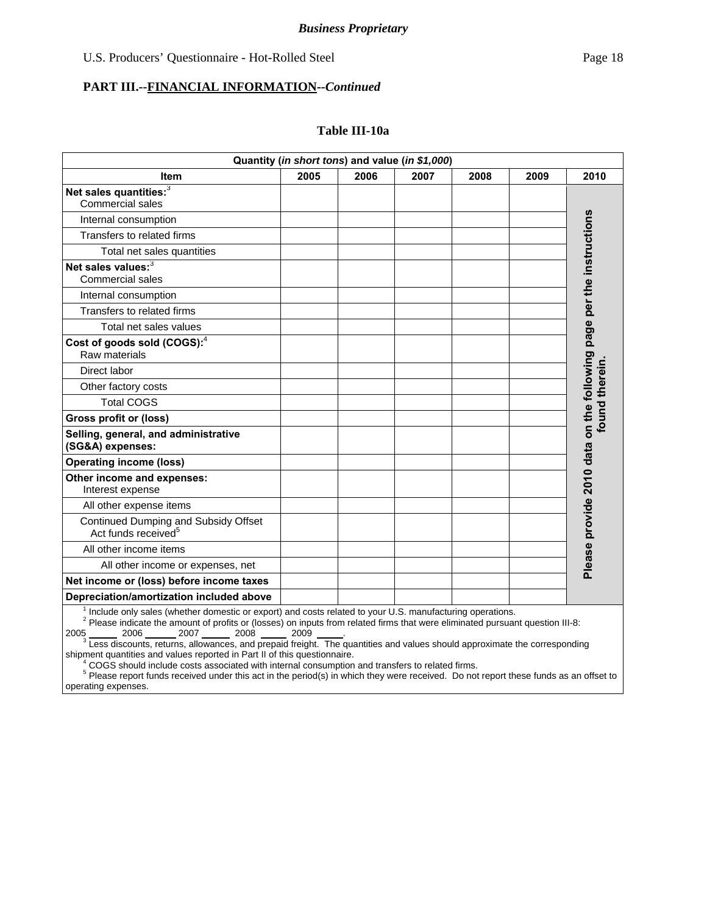#### **PART III.--FINANCIAL INFORMATION***--Continued*

#### **Table III-10a**

| Quantity (in short tons) and value (in \$1,000)                         |      |      |      |      |      |                                                                     |
|-------------------------------------------------------------------------|------|------|------|------|------|---------------------------------------------------------------------|
| ltem                                                                    | 2005 | 2006 | 2007 | 2008 | 2009 | 2010                                                                |
| Net sales quantities: <sup>3</sup><br><b>Commercial sales</b>           |      |      |      |      |      |                                                                     |
| Internal consumption                                                    |      |      |      |      |      |                                                                     |
| Transfers to related firms                                              |      |      |      |      |      |                                                                     |
| Total net sales quantities                                              |      |      |      |      |      |                                                                     |
| Net sales values:3<br>Commercial sales                                  |      |      |      |      |      | Please provide 2010 data on the following page per the instructions |
| Internal consumption                                                    |      |      |      |      |      |                                                                     |
| Transfers to related firms                                              |      |      |      |      |      |                                                                     |
| Total net sales values                                                  |      |      |      |      |      |                                                                     |
| Cost of goods sold (COGS): <sup>4</sup><br>Raw materials                |      |      |      |      |      |                                                                     |
| Direct labor                                                            |      |      |      |      |      |                                                                     |
| Other factory costs                                                     |      |      |      |      |      |                                                                     |
| <b>Total COGS</b>                                                       |      |      |      |      |      |                                                                     |
| <b>Gross profit or (loss)</b>                                           |      |      |      |      |      | found therein                                                       |
| Selling, general, and administrative<br>(SG&A) expenses:                |      |      |      |      |      |                                                                     |
| <b>Operating income (loss)</b>                                          |      |      |      |      |      |                                                                     |
| Other income and expenses:<br>Interest expense                          |      |      |      |      |      |                                                                     |
| All other expense items                                                 |      |      |      |      |      |                                                                     |
| Continued Dumping and Subsidy Offset<br>Act funds received <sup>5</sup> |      |      |      |      |      |                                                                     |
| All other income items                                                  |      |      |      |      |      |                                                                     |
| All other income or expenses, net                                       |      |      |      |      |      |                                                                     |
| Net income or (loss) before income taxes                                |      |      |      |      |      |                                                                     |
| Depreciation/amortization included above                                |      |      |      |      |      |                                                                     |

<sup>1</sup> Include only sales (whether domestic or export) and costs related to your U.S. manufacturing operations.<br><sup>2</sup> Please indicate the amount of profits or (losses) on inputs from related firms that were eliminated pursuant

2005 \_\_\_\_\_\_\_ 2006 \_\_\_\_\_\_\_ 2007 \_\_\_\_\_\_\_ 2008 \_\_\_\_\_\_ 2009 \_\_\_\_\_\_.<br><sup>3</sup> Less discounts, returns, allowances, and prepaid freight. The quantities and values should approximate the corresponding

shipment quantities and values reported in Part II of this questionnaire.

<sup>4</sup> COGS should include costs associated with internal consumption and transfers to related firms.<br><sup>5</sup> Please report funds received under this act in the period(s) in which they were received. Do not report these funds as operating expenses.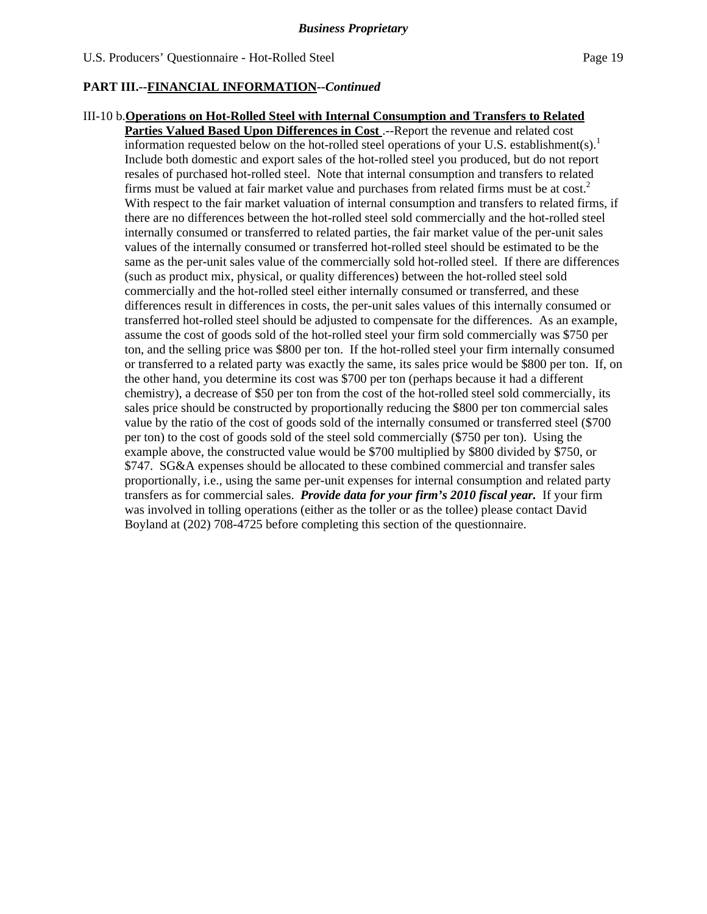## III-10 b.**Operations on Hot-Rolled Steel with Internal Consumption and Transfers to Related**

**Parties Valued Based Upon Differences in Cost** .--Report the revenue and related cost information requested below on the hot-rolled steel operations of your U.S. establishment(s).<sup>1</sup> Include both domestic and export sales of the hot-rolled steel you produced, but do not report resales of purchased hot-rolled steel. Note that internal consumption and transfers to related firms must be valued at fair market value and purchases from related firms must be at  $cost<sup>2</sup>$ . With respect to the fair market valuation of internal consumption and transfers to related firms, if there are no differences between the hot-rolled steel sold commercially and the hot-rolled steel internally consumed or transferred to related parties, the fair market value of the per-unit sales values of the internally consumed or transferred hot-rolled steel should be estimated to be the same as the per-unit sales value of the commercially sold hot-rolled steel. If there are differences (such as product mix, physical, or quality differences) between the hot-rolled steel sold commercially and the hot-rolled steel either internally consumed or transferred, and these differences result in differences in costs, the per-unit sales values of this internally consumed or transferred hot-rolled steel should be adjusted to compensate for the differences. As an example, assume the cost of goods sold of the hot-rolled steel your firm sold commercially was \$750 per ton, and the selling price was \$800 per ton. If the hot-rolled steel your firm internally consumed or transferred to a related party was exactly the same, its sales price would be \$800 per ton. If, on the other hand, you determine its cost was \$700 per ton (perhaps because it had a different chemistry), a decrease of \$50 per ton from the cost of the hot-rolled steel sold commercially, its sales price should be constructed by proportionally reducing the \$800 per ton commercial sales value by the ratio of the cost of goods sold of the internally consumed or transferred steel (\$700 per ton) to the cost of goods sold of the steel sold commercially (\$750 per ton). Using the example above, the constructed value would be \$700 multiplied by \$800 divided by \$750, or \$747. SG&A expenses should be allocated to these combined commercial and transfer sales proportionally, i.e., using the same per-unit expenses for internal consumption and related party transfers as for commercial sales. *Provide data for your firm's 2010 fiscal year.* If your firm was involved in tolling operations (either as the toller or as the tollee) please contact David Boyland at (202) 708-4725 before completing this section of the questionnaire.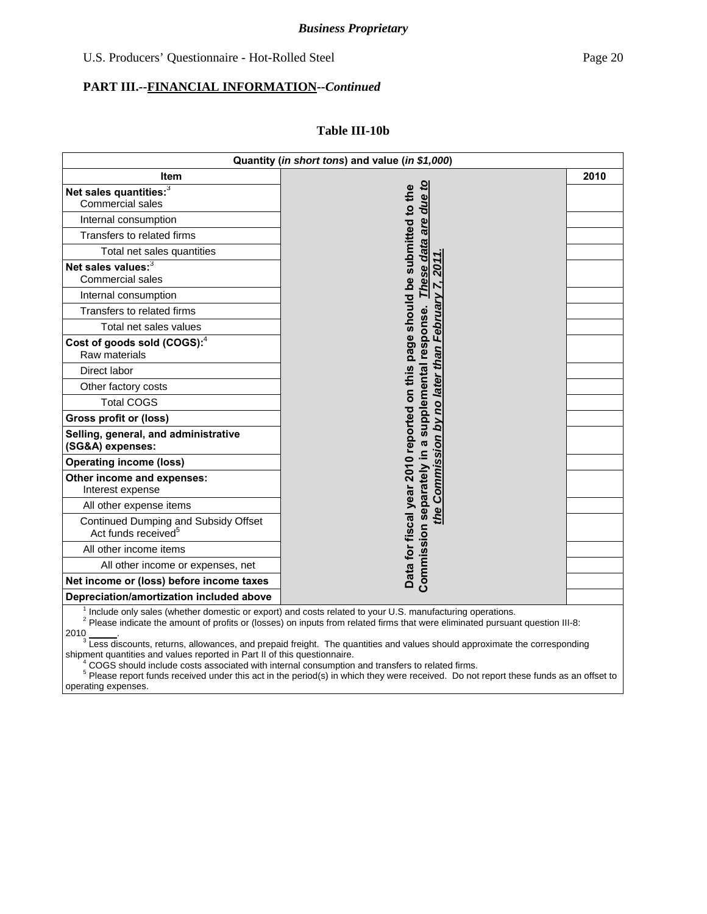#### **Table III-10b**

|                                                                         | Quantity (in short tons) and value (in \$1,000)                                                                                                                                                                                                       |      |
|-------------------------------------------------------------------------|-------------------------------------------------------------------------------------------------------------------------------------------------------------------------------------------------------------------------------------------------------|------|
| <b>Item</b>                                                             |                                                                                                                                                                                                                                                       | 2010 |
| Net sales quantities: <sup>3</sup><br><b>Commercial sales</b>           | due to                                                                                                                                                                                                                                                |      |
| Internal consumption                                                    |                                                                                                                                                                                                                                                       |      |
| Transfers to related firms                                              | are                                                                                                                                                                                                                                                   |      |
|                                                                         |                                                                                                                                                                                                                                                       |      |
| Total net sales quantities<br>Net sales values:3                        |                                                                                                                                                                                                                                                       |      |
| <b>Commercial sales</b>                                                 | These data<br>201                                                                                                                                                                                                                                     |      |
| Internal consumption                                                    |                                                                                                                                                                                                                                                       |      |
| Transfers to related firms                                              | February                                                                                                                                                                                                                                              |      |
| Total net sales values                                                  |                                                                                                                                                                                                                                                       |      |
| Cost of goods sold (COGS): <sup>4</sup><br>Raw materials                |                                                                                                                                                                                                                                                       |      |
| Direct labor                                                            |                                                                                                                                                                                                                                                       |      |
| Other factory costs                                                     |                                                                                                                                                                                                                                                       |      |
| <b>Total COGS</b>                                                       |                                                                                                                                                                                                                                                       |      |
| <b>Gross profit or (loss)</b>                                           |                                                                                                                                                                                                                                                       |      |
| Selling, general, and administrative<br>(SG&A) expenses:                |                                                                                                                                                                                                                                                       |      |
| <b>Operating income (loss)</b>                                          |                                                                                                                                                                                                                                                       |      |
| Other income and expenses:<br>Interest expense                          | the Commission by no later than                                                                                                                                                                                                                       |      |
| All other expense items                                                 |                                                                                                                                                                                                                                                       |      |
| Continued Dumping and Subsidy Offset<br>Act funds received <sup>5</sup> | Data for fiscal year 2010 reported on this page should be submitted to the<br>Commission separately in a supplemental response.                                                                                                                       |      |
| All other income items                                                  |                                                                                                                                                                                                                                                       |      |
| All other income or expenses, net                                       |                                                                                                                                                                                                                                                       |      |
| Net income or (loss) before income taxes                                |                                                                                                                                                                                                                                                       |      |
| Depreciation/amortization included above                                |                                                                                                                                                                                                                                                       |      |
|                                                                         | Include only sales (whether domestic or export) and costs related to your U.S. manufacturing operations.<br><sup>2</sup> Please indicate the amount of profits or (losses) on inputs from related firms that were eliminated pursuant question III-8: |      |

2010 \_\_\_\_\_\_.<br><sup>3</sup> Less discounts, returns, allowances, and prepaid freight. The quantities and values should approximate the corresponding

shipment quantities and values reported in Part II of this questionnaire.<br><sup>4</sup> COCS should include costs associated with internal consumption

<sup>4</sup> COGS should include costs associated with internal consumption and transfers to related firms.<br><sup>5</sup> Please report funds received under this act in the period(s) in which they were received. Do not report these funds as operating expenses.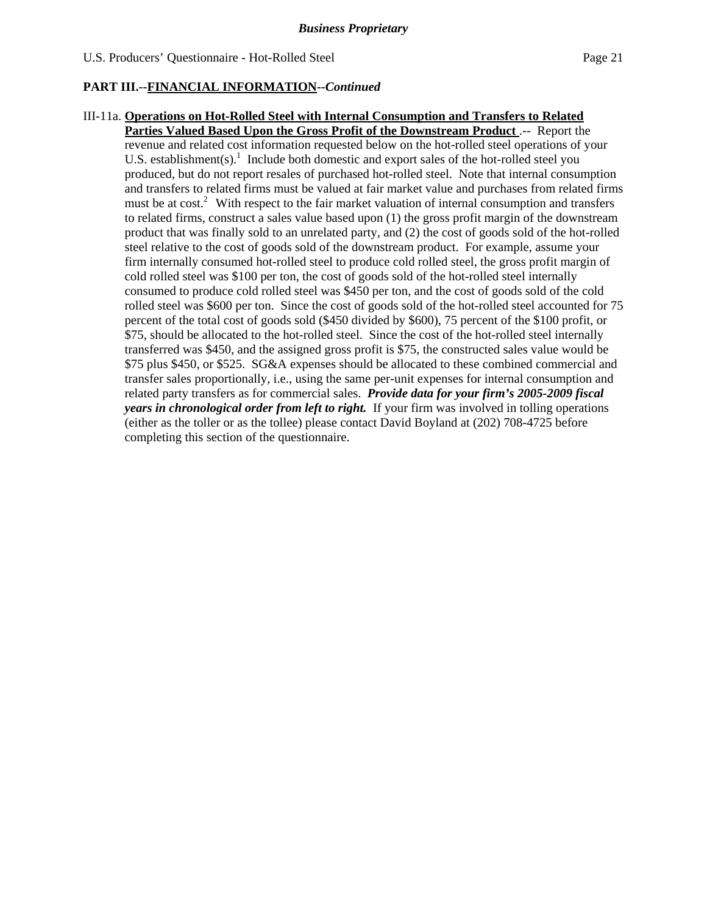# III-11a. **Operations on Hot-Rolled Steel with Internal Consumption and Transfers to Related**

**Parties Valued Based Upon the Gross Profit of the Downstream Product** .-- Report the revenue and related cost information requested below on the hot-rolled steel operations of your U.S. establishment(s).<sup>1</sup> Include both domestic and export sales of the hot-rolled steel you produced, but do not report resales of purchased hot-rolled steel. Note that internal consumption and transfers to related firms must be valued at fair market value and purchases from related firms must be at cost.<sup>2</sup> With respect to the fair market valuation of internal consumption and transfers to related firms, construct a sales value based upon (1) the gross profit margin of the downstream product that was finally sold to an unrelated party, and (2) the cost of goods sold of the hot-rolled steel relative to the cost of goods sold of the downstream product. For example, assume your firm internally consumed hot-rolled steel to produce cold rolled steel, the gross profit margin of cold rolled steel was \$100 per ton, the cost of goods sold of the hot-rolled steel internally consumed to produce cold rolled steel was \$450 per ton, and the cost of goods sold of the cold rolled steel was \$600 per ton. Since the cost of goods sold of the hot-rolled steel accounted for 75 percent of the total cost of goods sold (\$450 divided by \$600), 75 percent of the \$100 profit, or \$75, should be allocated to the hot-rolled steel. Since the cost of the hot-rolled steel internally transferred was \$450, and the assigned gross profit is \$75, the constructed sales value would be \$75 plus \$450, or \$525. SG&A expenses should be allocated to these combined commercial and transfer sales proportionally, i.e., using the same per-unit expenses for internal consumption and related party transfers as for commercial sales. *Provide data for your firm's 2005-2009 fiscal years in chronological order from left to right.* If your firm was involved in tolling operations (either as the toller or as the tollee) please contact David Boyland at (202) 708-4725 before completing this section of the questionnaire.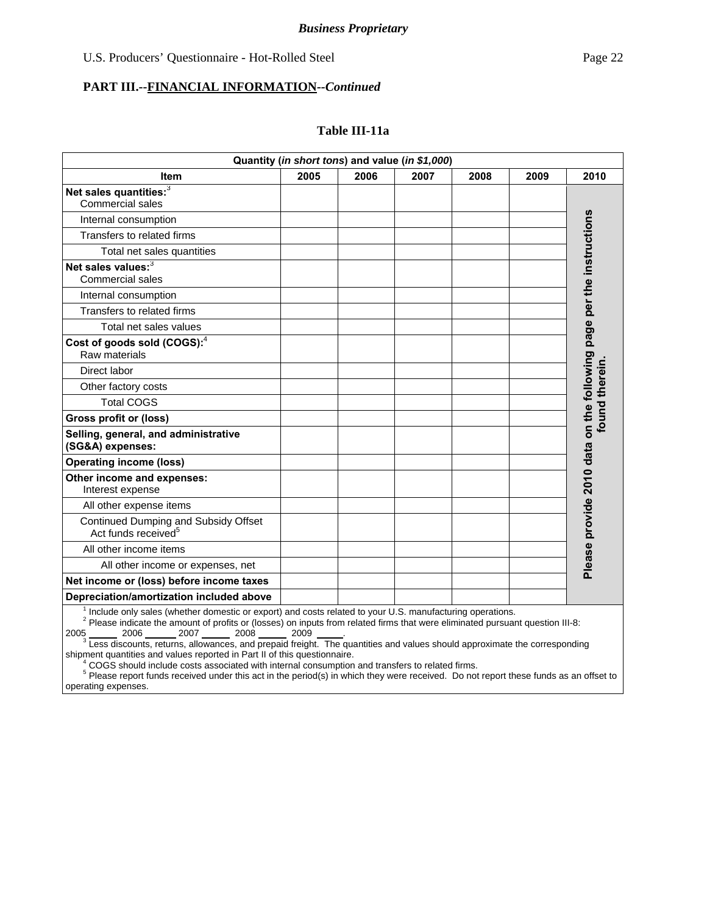#### **PART III.--FINANCIAL INFORMATION***--Continued*

#### **Table III-11a**

| Quantity (in short tons) and value (in \$1,000)                         |      |      |      |      |      |                                                                     |
|-------------------------------------------------------------------------|------|------|------|------|------|---------------------------------------------------------------------|
| <b>Item</b>                                                             | 2005 | 2006 | 2007 | 2008 | 2009 | 2010                                                                |
| Net sales quantities: 3<br><b>Commercial sales</b>                      |      |      |      |      |      |                                                                     |
| Internal consumption                                                    |      |      |      |      |      |                                                                     |
| Transfers to related firms                                              |      |      |      |      |      |                                                                     |
| Total net sales quantities                                              |      |      |      |      |      |                                                                     |
| Net sales values:3<br><b>Commercial sales</b>                           |      |      |      |      |      | Please provide 2010 data on the following page per the instructions |
| Internal consumption                                                    |      |      |      |      |      |                                                                     |
| Transfers to related firms                                              |      |      |      |      |      |                                                                     |
| Total net sales values                                                  |      |      |      |      |      |                                                                     |
| Cost of goods sold (COGS): <sup>4</sup><br>Raw materials                |      |      |      |      |      |                                                                     |
| Direct labor                                                            |      |      |      |      |      |                                                                     |
| Other factory costs                                                     |      |      |      |      |      |                                                                     |
| <b>Total COGS</b>                                                       |      |      |      |      |      |                                                                     |
| <b>Gross profit or (loss)</b>                                           |      |      |      |      |      | found therein                                                       |
| Selling, general, and administrative<br>(SG&A) expenses:                |      |      |      |      |      |                                                                     |
| <b>Operating income (loss)</b>                                          |      |      |      |      |      |                                                                     |
| Other income and expenses:<br>Interest expense                          |      |      |      |      |      |                                                                     |
| All other expense items                                                 |      |      |      |      |      |                                                                     |
| Continued Dumping and Subsidy Offset<br>Act funds received <sup>5</sup> |      |      |      |      |      |                                                                     |
| All other income items                                                  |      |      |      |      |      |                                                                     |
| All other income or expenses, net                                       |      |      |      |      |      |                                                                     |
| Net income or (loss) before income taxes                                |      |      |      |      |      |                                                                     |
| Depreciation/amortization included above                                |      |      |      |      |      |                                                                     |

<sup>1</sup> Include only sales (whether domestic or export) and costs related to your U.S. manufacturing operations.<br><sup>2</sup> Please indicate the amount of profits or (losses) on inputs from related firms that were eliminated pursuant 2005 \_\_\_\_\_\_\_ 2006 \_\_\_\_\_\_\_ 2007 \_\_\_\_\_\_\_ 2008 \_\_\_\_\_\_\_ 2009 \_\_\_\_\_\_.<br><sup>3</sup> Less discounts, returns, allowances, and prepaid freight. The quantities and values should approximate the corresponding

shipment quantities and values reported in Part II of this questionnaire. 4

<sup>4</sup> COGS should include costs associated with internal consumption and transfers to related firms.<br><sup>5</sup> Please report funds received under this act in the period(s) in which they were received. Do not report these funds as operating expenses.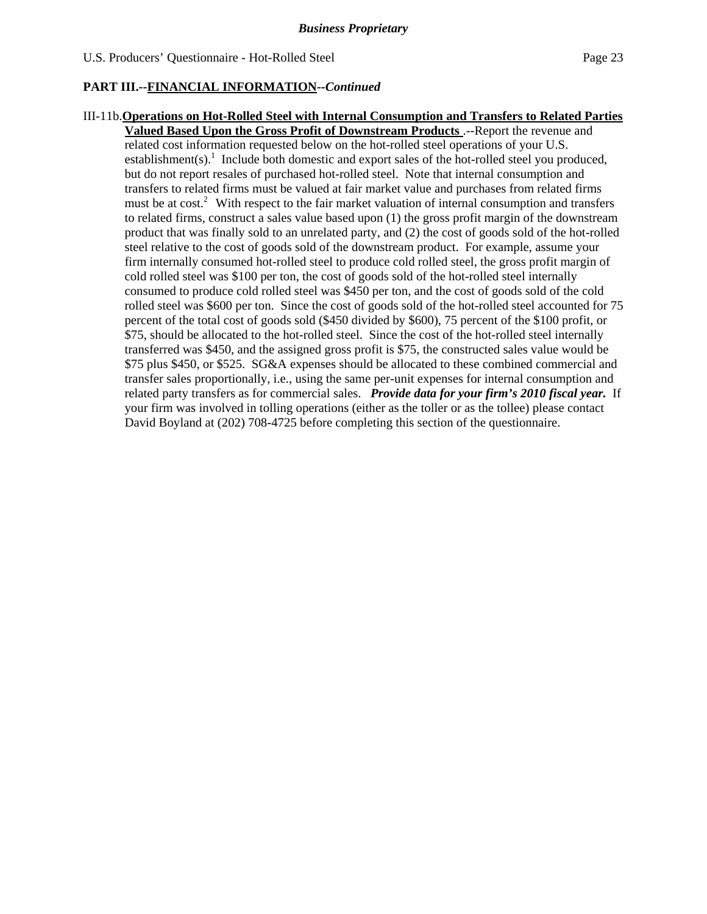## III-11b.**Operations on Hot-Rolled Steel with Internal Consumption and Transfers to Related Parties Valued Based Upon the Gross Profit of Downstream Products** .--Report the revenue and related cost information requested below on the hot-rolled steel operations of your U.S. establishment(s).<sup>1</sup> Include both domestic and export sales of the hot-rolled steel you produced, but do not report resales of purchased hot-rolled steel. Note that internal consumption and transfers to related firms must be valued at fair market value and purchases from related firms must be at cost.<sup>2</sup> With respect to the fair market valuation of internal consumption and transfers to related firms, construct a sales value based upon (1) the gross profit margin of the downstream product that was finally sold to an unrelated party, and (2) the cost of goods sold of the hot-rolled steel relative to the cost of goods sold of the downstream product. For example, assume your firm internally consumed hot-rolled steel to produce cold rolled steel, the gross profit margin of cold rolled steel was \$100 per ton, the cost of goods sold of the hot-rolled steel internally consumed to produce cold rolled steel was \$450 per ton, and the cost of goods sold of the cold rolled steel was \$600 per ton. Since the cost of goods sold of the hot-rolled steel accounted for 75 percent of the total cost of goods sold (\$450 divided by \$600), 75 percent of the \$100 profit, or \$75, should be allocated to the hot-rolled steel. Since the cost of the hot-rolled steel internally transferred was \$450, and the assigned gross profit is \$75, the constructed sales value would be \$75 plus \$450, or \$525. SG&A expenses should be allocated to these combined commercial and transfer sales proportionally, i.e., using the same per-unit expenses for internal consumption and related party transfers as for commercial sales. *Provide data for your firm's 2010 fiscal year.* If your firm was involved in tolling operations (either as the toller or as the tollee) please contact David Boyland at (202) 708-4725 before completing this section of the questionnaire.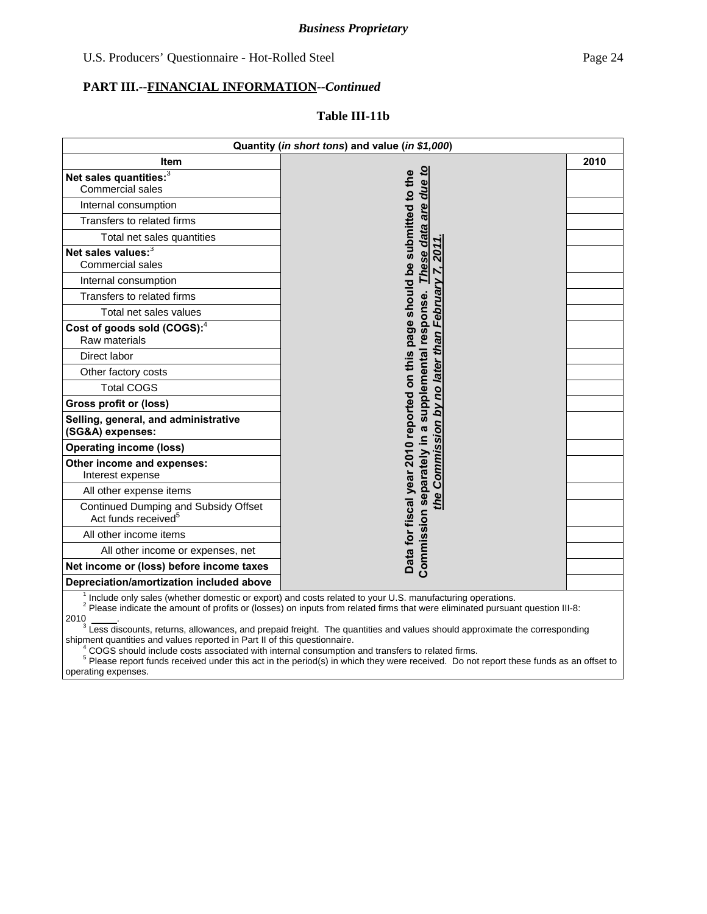#### **Table III-11b**

|                                                                         | Quantity (in short tons) and value (in \$1,000)                                                                                                                                                                                                                    |      |
|-------------------------------------------------------------------------|--------------------------------------------------------------------------------------------------------------------------------------------------------------------------------------------------------------------------------------------------------------------|------|
| <b>Item</b>                                                             |                                                                                                                                                                                                                                                                    | 2010 |
| Net sales quantities: 3                                                 | due to                                                                                                                                                                                                                                                             |      |
| Commercial sales                                                        |                                                                                                                                                                                                                                                                    |      |
| Internal consumption                                                    | are                                                                                                                                                                                                                                                                |      |
| Transfers to related firms                                              |                                                                                                                                                                                                                                                                    |      |
| Total net sales quantities                                              |                                                                                                                                                                                                                                                                    |      |
| Net sales values: <sup>3</sup><br>Commercial sales                      | These data<br>201                                                                                                                                                                                                                                                  |      |
| Internal consumption                                                    |                                                                                                                                                                                                                                                                    |      |
| Transfers to related firms                                              | February                                                                                                                                                                                                                                                           |      |
| Total net sales values                                                  |                                                                                                                                                                                                                                                                    |      |
| Cost of goods sold (COGS): <sup>4</sup><br>Raw materials                | supplemental response.                                                                                                                                                                                                                                             |      |
| Direct labor                                                            |                                                                                                                                                                                                                                                                    |      |
| Other factory costs                                                     |                                                                                                                                                                                                                                                                    |      |
| <b>Total COGS</b>                                                       |                                                                                                                                                                                                                                                                    |      |
| <b>Gross profit or (loss)</b>                                           |                                                                                                                                                                                                                                                                    |      |
| Selling, general, and administrative<br>(SG&A) expenses:                |                                                                                                                                                                                                                                                                    |      |
| <b>Operating income (loss)</b>                                          |                                                                                                                                                                                                                                                                    |      |
| Other income and expenses:<br>Interest expense                          | Commission by no later than                                                                                                                                                                                                                                        |      |
| All other expense items                                                 |                                                                                                                                                                                                                                                                    |      |
| Continued Dumping and Subsidy Offset<br>Act funds received <sup>5</sup> | Data for fiscal year 2010 reported on this page should be submitted to the<br>Commission separately in a<br>the                                                                                                                                                    |      |
| All other income items                                                  |                                                                                                                                                                                                                                                                    |      |
| All other income or expenses, net                                       |                                                                                                                                                                                                                                                                    |      |
| Net income or (loss) before income taxes                                |                                                                                                                                                                                                                                                                    |      |
| Depreciation/amortization included above                                |                                                                                                                                                                                                                                                                    |      |
|                                                                         | <sup>1</sup> Include only sales (whether domestic or export) and costs related to your U.S. manufacturing operations.<br><sup>2</sup> Please indicate the amount of profits or (losses) on inputs from related firms that were eliminated pursuant question III-8: |      |

2010 \_\_\_\_\_\_.<br><sup>3</sup> Less discounts, returns, allowances, and prepaid freight. The quantities and values should approximate the corresponding shipment quantities and values reported in Part II of this questionnaire.<br>4 COCS should include costs associated with internal esperimetion

 $^4$  COGS should include costs associated with internal consumption and transfers to related firms.<br>5 Blogge report funds received under this act in the period(e) in which thay were received. De pet

 Please report funds received under this act in the period(s) in which they were received. Do not report these funds as an offset to operating expenses.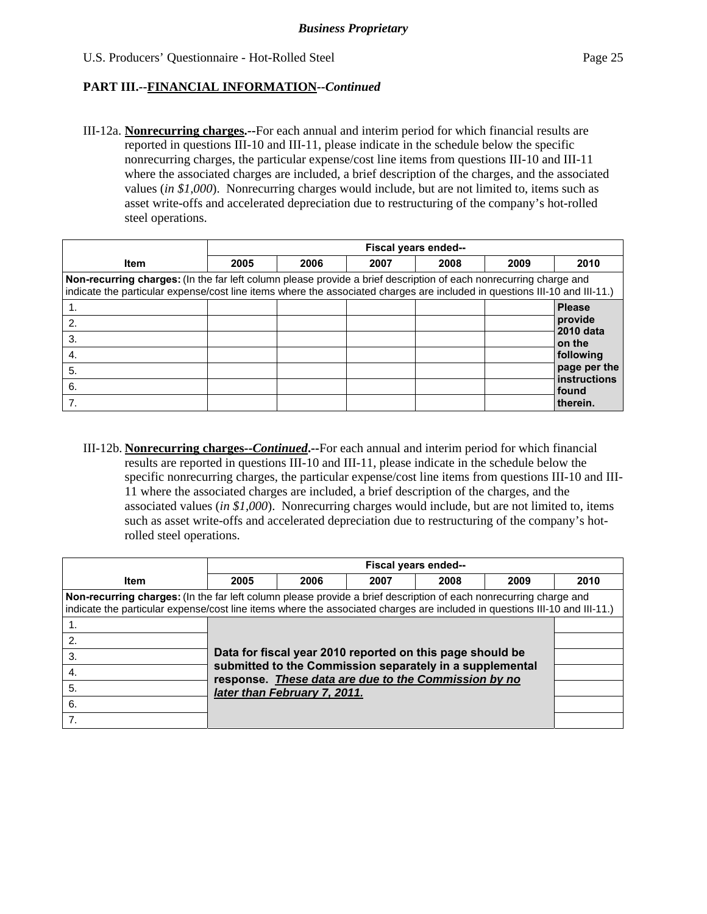III-12a. **Nonrecurring charges.--**For each annual and interim period for which financial results are reported in questions III-10 and III-11, please indicate in the schedule below the specific nonrecurring charges, the particular expense/cost line items from questions III-10 and III-11 where the associated charges are included, a brief description of the charges, and the associated values (*in \$1,000*). Nonrecurring charges would include, but are not limited to, items such as asset write-offs and accelerated depreciation due to restructuring of the company's hot-rolled steel operations.

|                                                                                                                                                                                                                                                 |      | Fiscal years ended-- |      |      |      |                              |  |
|-------------------------------------------------------------------------------------------------------------------------------------------------------------------------------------------------------------------------------------------------|------|----------------------|------|------|------|------------------------------|--|
| <b>Item</b>                                                                                                                                                                                                                                     | 2005 | 2006                 | 2007 | 2008 | 2009 | 2010                         |  |
| Non-recurring charges: (In the far left column please provide a brief description of each nonrecurring charge and<br>indicate the particular expense/cost line items where the associated charges are included in questions III-10 and III-11.) |      |                      |      |      |      |                              |  |
|                                                                                                                                                                                                                                                 |      |                      |      |      |      | <b>Please</b>                |  |
| 2.                                                                                                                                                                                                                                              |      |                      |      |      |      | provide<br>2010 data         |  |
| 3.                                                                                                                                                                                                                                              |      |                      |      |      |      | on the                       |  |
| 4.                                                                                                                                                                                                                                              |      |                      |      |      |      | following                    |  |
| 5.                                                                                                                                                                                                                                              |      |                      |      |      |      | page per the<br>instructions |  |
| 6.                                                                                                                                                                                                                                              |      |                      |      |      |      | <b>found</b>                 |  |
|                                                                                                                                                                                                                                                 |      |                      |      |      |      | therein.                     |  |

III-12b. **Nonrecurring charges--***Continued***.--**For each annual and interim period for which financial results are reported in questions III-10 and III-11, please indicate in the schedule below the specific nonrecurring charges, the particular expense/cost line items from questions III-10 and III-11 where the associated charges are included, a brief description of the charges, and the associated values (*in \$1,000*). Nonrecurring charges would include, but are not limited to, items such as asset write-offs and accelerated depreciation due to restructuring of the company's hotrolled steel operations.

|                                                                                                                                                                                                                                                 |      | Fiscal years ended--                                                                                             |      |      |      |      |  |  |
|-------------------------------------------------------------------------------------------------------------------------------------------------------------------------------------------------------------------------------------------------|------|------------------------------------------------------------------------------------------------------------------|------|------|------|------|--|--|
| <b>Item</b>                                                                                                                                                                                                                                     | 2005 | 2006                                                                                                             | 2007 | 2008 | 2009 | 2010 |  |  |
| Non-recurring charges: (In the far left column please provide a brief description of each nonrecurring charge and<br>indicate the particular expense/cost line items where the associated charges are included in questions III-10 and III-11.) |      |                                                                                                                  |      |      |      |      |  |  |
|                                                                                                                                                                                                                                                 |      |                                                                                                                  |      |      |      |      |  |  |
| 2.                                                                                                                                                                                                                                              |      |                                                                                                                  |      |      |      |      |  |  |
| 3.                                                                                                                                                                                                                                              |      | Data for fiscal year 2010 reported on this page should be                                                        |      |      |      |      |  |  |
| 4.                                                                                                                                                                                                                                              |      | submitted to the Commission separately in a supplemental<br>response. These data are due to the Commission by no |      |      |      |      |  |  |
| 5.                                                                                                                                                                                                                                              |      | later than February 7, 2011.                                                                                     |      |      |      |      |  |  |
| 6.                                                                                                                                                                                                                                              |      |                                                                                                                  |      |      |      |      |  |  |
|                                                                                                                                                                                                                                                 |      |                                                                                                                  |      |      |      |      |  |  |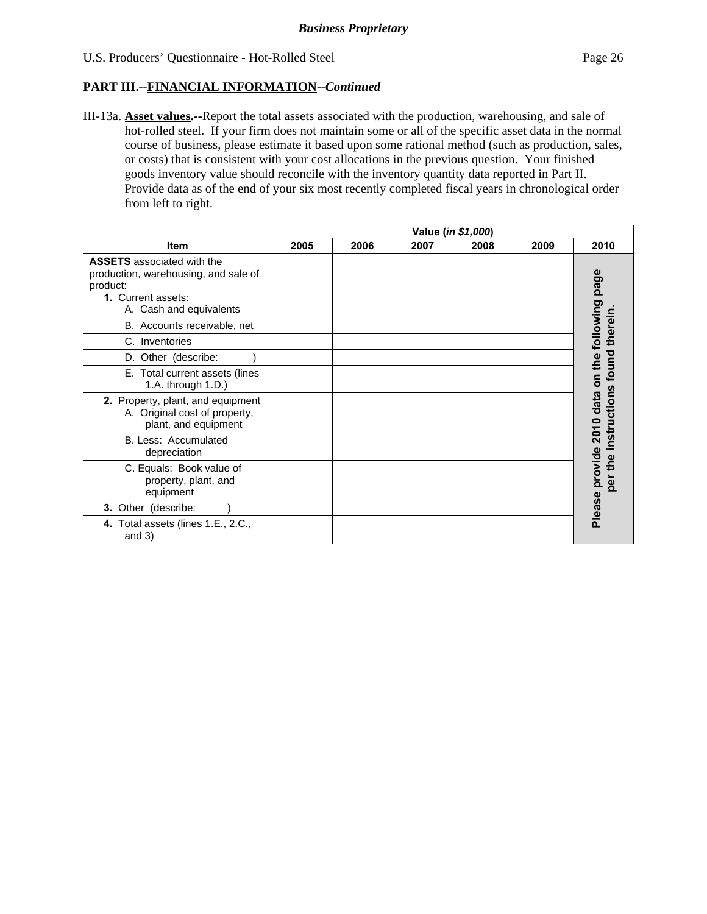III-13a. **Asset values.--**Report the total assets associated with the production, warehousing, and sale of hot-rolled steel. If your firm does not maintain some or all of the specific asset data in the normal course of business, please estimate it based upon some rational method (such as production, sales, or costs) that is consistent with your cost allocations in the previous question. Your finished goods inventory value should reconcile with the inventory quantity data reported in Part II. Provide data as of the end of your six most recently completed fiscal years in chronological order from left to right.

|                                                                                                                                        |      |      |      | Value (in \$1,000) |      |                                                |
|----------------------------------------------------------------------------------------------------------------------------------------|------|------|------|--------------------|------|------------------------------------------------|
| Item                                                                                                                                   | 2005 | 2006 | 2007 | 2008               | 2009 | 2010                                           |
| <b>ASSETS</b> associated with the<br>production, warehousing, and sale of<br>product:<br>1. Current assets:<br>A. Cash and equivalents |      |      |      |                    |      | Please provide 2010 data on the following page |
| B. Accounts receivable, net                                                                                                            |      |      |      |                    |      |                                                |
| C. Inventories                                                                                                                         |      |      |      |                    |      |                                                |
| D. Other (describe:                                                                                                                    |      |      |      |                    |      |                                                |
| E. Total current assets (lines<br>1.A. through 1.D.)                                                                                   |      |      |      |                    |      |                                                |
| 2. Property, plant, and equipment<br>A. Original cost of property,<br>plant, and equipment                                             |      |      |      |                    |      | ctions                                         |
| B. Less: Accumulated<br>depreciation                                                                                                   |      |      |      |                    |      | instru                                         |
| C. Equals: Book value of<br>property, plant, and<br>equipment                                                                          |      |      |      |                    |      | the<br>ē0                                      |
| 3. Other (describe:                                                                                                                    |      |      |      |                    |      |                                                |
| 4. Total assets (lines 1.E., 2.C.,<br>and $3)$                                                                                         |      |      |      |                    |      |                                                |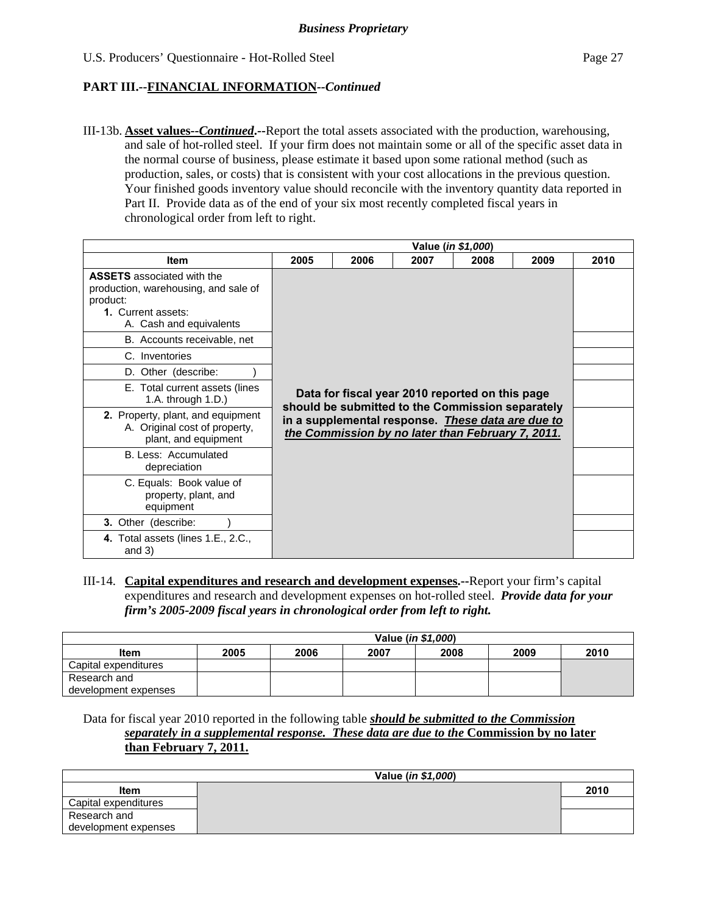III-13b. **Asset values--***Continued***.--**Report the total assets associated with the production, warehousing, and sale of hot-rolled steel. If your firm does not maintain some or all of the specific asset data in the normal course of business, please estimate it based upon some rational method (such as production, sales, or costs) that is consistent with your cost allocations in the previous question. Your finished goods inventory value should reconcile with the inventory quantity data reported in Part II. Provide data as of the end of your six most recently completed fiscal years in chronological order from left to right.

|                                                                                                                                        |                                                                                                                                                                                                               |      |      | Value (in \$1,000) |      |      |
|----------------------------------------------------------------------------------------------------------------------------------------|---------------------------------------------------------------------------------------------------------------------------------------------------------------------------------------------------------------|------|------|--------------------|------|------|
| <b>Item</b>                                                                                                                            | 2005                                                                                                                                                                                                          | 2006 | 2007 | 2008               | 2009 | 2010 |
| <b>ASSETS</b> associated with the<br>production, warehousing, and sale of<br>product:<br>1. Current assets:<br>A. Cash and equivalents |                                                                                                                                                                                                               |      |      |                    |      |      |
| B. Accounts receivable, net                                                                                                            |                                                                                                                                                                                                               |      |      |                    |      |      |
| C. Inventories                                                                                                                         |                                                                                                                                                                                                               |      |      |                    |      |      |
| D. Other (describe:                                                                                                                    |                                                                                                                                                                                                               |      |      |                    |      |      |
| E. Total current assets (lines<br>1.A. through $1.D.$ )                                                                                | Data for fiscal year 2010 reported on this page<br>should be submitted to the Commission separately<br>in a supplemental response. These data are due to<br>the Commission by no later than February 7, 2011. |      |      |                    |      |      |
| 2. Property, plant, and equipment<br>A. Original cost of property,<br>plant, and equipment                                             |                                                                                                                                                                                                               |      |      |                    |      |      |
| B. Less: Accumulated<br>depreciation                                                                                                   |                                                                                                                                                                                                               |      |      |                    |      |      |
| C. Equals: Book value of<br>property, plant, and<br>equipment                                                                          |                                                                                                                                                                                                               |      |      |                    |      |      |
| 3. Other (describe:                                                                                                                    |                                                                                                                                                                                                               |      |      |                    |      |      |
| 4. Total assets (lines 1.E., 2.C.,<br>and $3)$                                                                                         |                                                                                                                                                                                                               |      |      |                    |      |      |

III-14. **Capital expenditures and research and development expenses.--**Report your firm's capital expenditures and research and development expenses on hot-rolled steel. *Provide data for your firm's 2005-2009 fiscal years in chronological order from left to right.*

|                      |      |      |      | Value ( <i>in \$1,000</i> ) |      |      |
|----------------------|------|------|------|-----------------------------|------|------|
| <b>Item</b>          | 2005 | 2006 | 2007 | 2008                        | 2009 | 2010 |
| Capital expenditures |      |      |      |                             |      |      |
| Research and         |      |      |      |                             |      |      |
| development expenses |      |      |      |                             |      |      |

Data for fiscal year 2010 reported in the following table *should be submitted to the Commission separately in a supplemental response. These data are due to the* **Commission by no later than February 7, 2011.**

|                      | Value ( <i>in \$1,000</i> ) |      |
|----------------------|-----------------------------|------|
| Item                 |                             | 2010 |
| Capital expenditures |                             |      |
| Research and         |                             |      |
| development expenses |                             |      |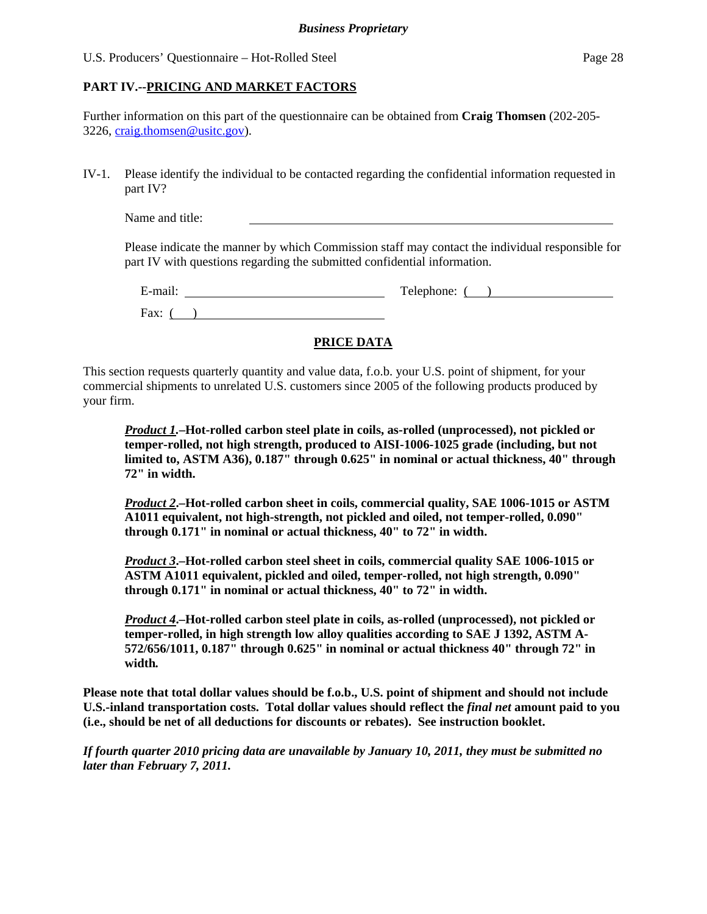# **PART IV.--PRICING AND MARKET FACTORS**

Further information on this part of the questionnaire can be obtained from **Craig Thomsen** (202-205- 3226, craig.thomsen@usitc.gov).

IV-1. Please identify the individual to be contacted regarding the confidential information requested in part IV?

Name and title:

Please indicate the manner by which Commission staff may contact the individual responsible for part IV with questions regarding the submitted confidential information.

| $\cdot$ $\cdot$ | m            |
|-----------------|--------------|
| $\sim$          | phone:       |
| $ man.$         | $\Delta$ let |
| Fax:            | -            |

# **PRICE DATA**

This section requests quarterly quantity and value data, f.o.b. your U.S. point of shipment, for your commercial shipments to unrelated U.S. customers since 2005 of the following products produced by your firm.

*Product 1.***–Hot-rolled carbon steel plate in coils, as-rolled (unprocessed), not pickled or temper-rolled, not high strength, produced to AISI-1006-1025 grade (including, but not limited to, ASTM A36), 0.187" through 0.625" in nominal or actual thickness, 40" through 72" in width.**

*Product 2***.–Hot-rolled carbon sheet in coils, commercial quality, SAE 1006-1015 or ASTM A1011 equivalent, not high-strength, not pickled and oiled, not temper-rolled, 0.090" through 0.171" in nominal or actual thickness, 40" to 72" in width.**

*Product 3***.–Hot-rolled carbon steel sheet in coils, commercial quality SAE 1006-1015 or ASTM A1011 equivalent, pickled and oiled, temper-rolled, not high strength, 0.090" through 0.171" in nominal or actual thickness, 40" to 72" in width.**

*Product 4***.–Hot-rolled carbon steel plate in coils, as-rolled (unprocessed), not pickled or temper-rolled, in high strength low alloy qualities according to SAE J 1392, ASTM A-572/656/1011, 0.187" through 0.625" in nominal or actual thickness 40" through 72" in width***.*

**Please note that total dollar values should be f.o.b., U.S. point of shipment and should not include U.S.-inland transportation costs. Total dollar values should reflect the** *final net* **amount paid to you (i.e., should be net of all deductions for discounts or rebates). See instruction booklet.** 

*If fourth quarter 2010 pricing data are unavailable by January 10, 2011, they must be submitted no later than February 7, 2011.*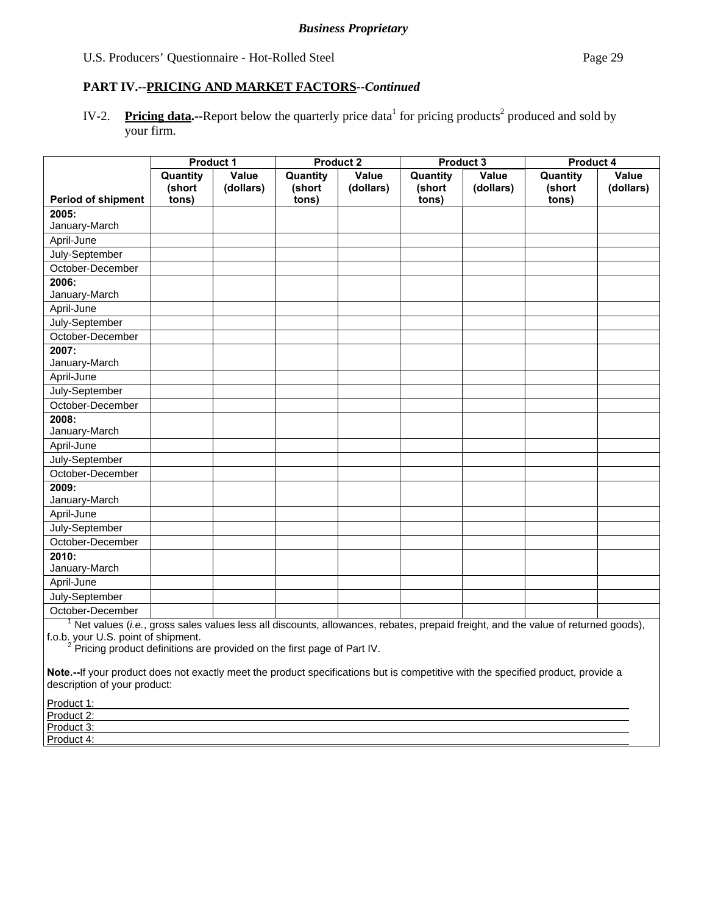# **PART IV.--PRICING AND MARKET FACTORS***--Continued*

IV-2. Pricing data.--Report below the quarterly price data<sup>1</sup> for pricing products<sup>2</sup> produced and sold by your firm.

|                           | <b>Product 1</b>            |                    | <b>Product 2</b>            |                    | Product 3                   |                    | <b>Product 4</b>            |                    |
|---------------------------|-----------------------------|--------------------|-----------------------------|--------------------|-----------------------------|--------------------|-----------------------------|--------------------|
| <b>Period of shipment</b> | Quantity<br>(short<br>tons) | Value<br>(dollars) | Quantity<br>(short<br>tons) | Value<br>(dollars) | Quantity<br>(short<br>tons) | Value<br>(dollars) | Quantity<br>(short<br>tons) | Value<br>(dollars) |
| 2005:                     |                             |                    |                             |                    |                             |                    |                             |                    |
| January-March             |                             |                    |                             |                    |                             |                    |                             |                    |
| April-June                |                             |                    |                             |                    |                             |                    |                             |                    |
| July-September            |                             |                    |                             |                    |                             |                    |                             |                    |
| October-December          |                             |                    |                             |                    |                             |                    |                             |                    |
| 2006:                     |                             |                    |                             |                    |                             |                    |                             |                    |
| January-March             |                             |                    |                             |                    |                             |                    |                             |                    |
| April-June                |                             |                    |                             |                    |                             |                    |                             |                    |
| July-September            |                             |                    |                             |                    |                             |                    |                             |                    |
| October-December          |                             |                    |                             |                    |                             |                    |                             |                    |
| 2007:                     |                             |                    |                             |                    |                             |                    |                             |                    |
| January-March             |                             |                    |                             |                    |                             |                    |                             |                    |
| April-June                |                             |                    |                             |                    |                             |                    |                             |                    |
| July-September            |                             |                    |                             |                    |                             |                    |                             |                    |
| October-December          |                             |                    |                             |                    |                             |                    |                             |                    |
| 2008:                     |                             |                    |                             |                    |                             |                    |                             |                    |
| January-March             |                             |                    |                             |                    |                             |                    |                             |                    |
| April-June                |                             |                    |                             |                    |                             |                    |                             |                    |
| July-September            |                             |                    |                             |                    |                             |                    |                             |                    |
| October-December          |                             |                    |                             |                    |                             |                    |                             |                    |
| 2009:                     |                             |                    |                             |                    |                             |                    |                             |                    |
| January-March             |                             |                    |                             |                    |                             |                    |                             |                    |
| April-June                |                             |                    |                             |                    |                             |                    |                             |                    |
| July-September            |                             |                    |                             |                    |                             |                    |                             |                    |
| October-December          |                             |                    |                             |                    |                             |                    |                             |                    |
| 2010:                     |                             |                    |                             |                    |                             |                    |                             |                    |
| January-March             |                             |                    |                             |                    |                             |                    |                             |                    |
| April-June                |                             |                    |                             |                    |                             |                    |                             |                    |
| July-September            |                             |                    |                             |                    |                             |                    |                             |                    |
| October-December          |                             |                    |                             |                    |                             |                    |                             |                    |

<sup>1</sup> Net values (*i.e.*, gross sales values less all discounts, allowances, rebates, prepaid freight, and the value of returned goods),

f.o.b. your U.S. point of shipment.<br><sup>2</sup> Pricing product definitions are provided on the first page of Part IV.

**Note.--**If your product does not exactly meet the product specifications but is competitive with the specified product, provide a description of your product:

| Product 1:                 |  |  |
|----------------------------|--|--|
| Product 2:                 |  |  |
| Product 3:<br><b>TOUUL</b> |  |  |
| Product 4:                 |  |  |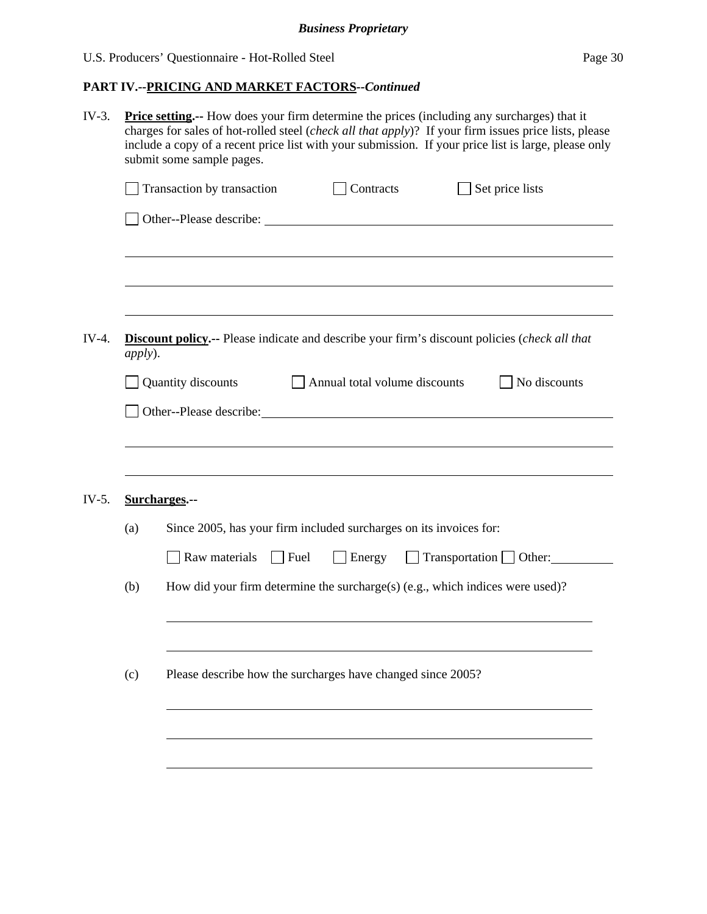| $IV-3.$ | <b>Price setting.</b> -- How does your firm determine the prices (including any surcharges) that it<br>charges for sales of hot-rolled steel (check all that apply)? If your firm issues price lists, please<br>include a copy of a recent price list with your submission. If your price list is large, please only<br>submit some sample pages. |                                                                                                      |  |  |  |  |  |  |  |  |
|---------|---------------------------------------------------------------------------------------------------------------------------------------------------------------------------------------------------------------------------------------------------------------------------------------------------------------------------------------------------|------------------------------------------------------------------------------------------------------|--|--|--|--|--|--|--|--|
|         |                                                                                                                                                                                                                                                                                                                                                   | Transaction by transaction<br>Contracts<br>Set price lists                                           |  |  |  |  |  |  |  |  |
|         |                                                                                                                                                                                                                                                                                                                                                   |                                                                                                      |  |  |  |  |  |  |  |  |
|         |                                                                                                                                                                                                                                                                                                                                                   |                                                                                                      |  |  |  |  |  |  |  |  |
|         |                                                                                                                                                                                                                                                                                                                                                   |                                                                                                      |  |  |  |  |  |  |  |  |
| $IV-4.$ | <i>apply</i> ).                                                                                                                                                                                                                                                                                                                                   | <b>Discount policy.--</b> Please indicate and describe your firm's discount policies (check all that |  |  |  |  |  |  |  |  |
|         | Quantity discounts<br>No discounts<br>Annual total volume discounts                                                                                                                                                                                                                                                                               |                                                                                                      |  |  |  |  |  |  |  |  |
|         | Other--Please describe: Note: Note: Note: Note: Note: Note: Note: Note: Note: Note: Note: Note: Note: Note: Note: Note: Note: Note: Note: Note: Note: Note: Note: Note: Note: Note: Note: Note: Note: Note: Note: Note: Note:                                                                                                                     |                                                                                                      |  |  |  |  |  |  |  |  |
|         |                                                                                                                                                                                                                                                                                                                                                   |                                                                                                      |  |  |  |  |  |  |  |  |
|         |                                                                                                                                                                                                                                                                                                                                                   |                                                                                                      |  |  |  |  |  |  |  |  |
| $IV-5.$ |                                                                                                                                                                                                                                                                                                                                                   | Surcharges.--                                                                                        |  |  |  |  |  |  |  |  |
|         | (a)                                                                                                                                                                                                                                                                                                                                               | Since 2005, has your firm included surcharges on its invoices for:                                   |  |  |  |  |  |  |  |  |
|         |                                                                                                                                                                                                                                                                                                                                                   | $\Box$ Transportation $\Box$ Other:<br>Raw materials<br>$\Box$ Fuel<br>$\Box$ Energy                 |  |  |  |  |  |  |  |  |
|         | (b)                                                                                                                                                                                                                                                                                                                                               | How did your firm determine the surcharge(s) (e.g., which indices were used)?                        |  |  |  |  |  |  |  |  |
|         |                                                                                                                                                                                                                                                                                                                                                   |                                                                                                      |  |  |  |  |  |  |  |  |
|         | (c)                                                                                                                                                                                                                                                                                                                                               | Please describe how the surcharges have changed since 2005?                                          |  |  |  |  |  |  |  |  |
|         |                                                                                                                                                                                                                                                                                                                                                   |                                                                                                      |  |  |  |  |  |  |  |  |
|         |                                                                                                                                                                                                                                                                                                                                                   |                                                                                                      |  |  |  |  |  |  |  |  |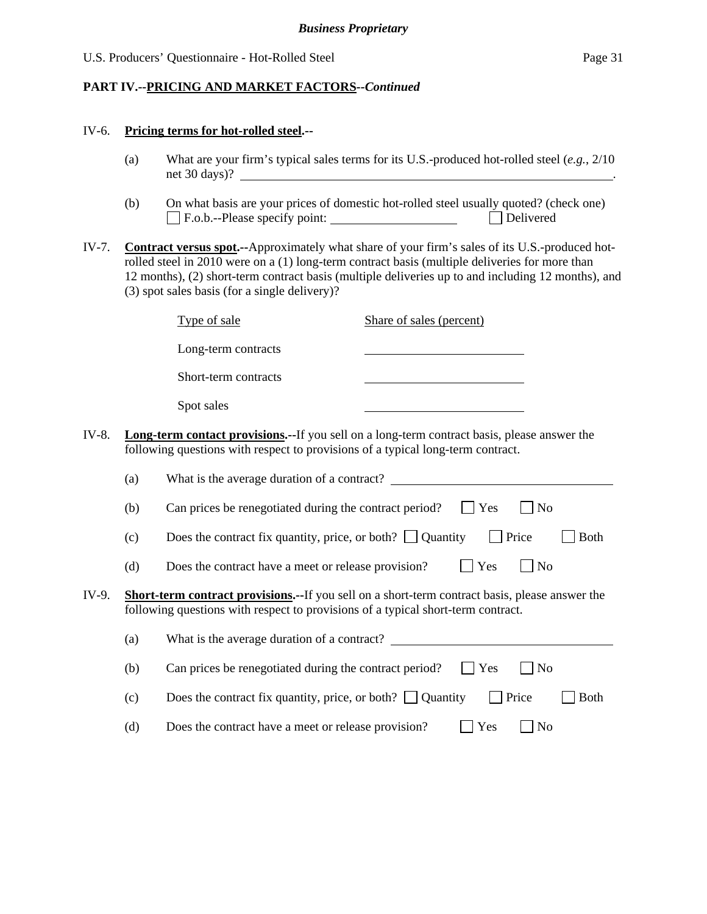#### **PART IV.--PRICING AND MARKET FACTORS***--Continued*

#### IV-6. **Pricing terms for hot-rolled steel.--**

- (a) What are your firm's typical sales terms for its U.S.-produced hot-rolled steel (*e.g.*, 2/10 net 30 days)? .
- (b) On what basis are your prices of domestic hot-rolled steel usually quoted? (check one) F.o.b.--Please specify point: Delivered
- IV-7. **Contract versus spot.--**Approximately what share of your firm's sales of its U.S.-produced hotrolled steel in 2010 were on a (1) long-term contract basis (multiple deliveries for more than 12 months), (2) short-term contract basis (multiple deliveries up to and including 12 months), and (3) spot sales basis (for a single delivery)?

| Type of sale                                                                          | Share of sales (percent) |  |  |  |
|---------------------------------------------------------------------------------------|--------------------------|--|--|--|
| Long-term contracts                                                                   |                          |  |  |  |
| Short-term contracts                                                                  |                          |  |  |  |
| Spot sales                                                                            |                          |  |  |  |
| erm contact provisions.--If you sell on a long-term contract basis, please answer the |                          |  |  |  |

IV-8. **Long-te** following questions with respect to provisions of a typical long-term contract.

|       | (a) | What is the average duration of a contract?                                                                                                                                                |
|-------|-----|--------------------------------------------------------------------------------------------------------------------------------------------------------------------------------------------|
|       | (b) | $\blacksquare$ Yes<br>Can prices be renegotiated during the contract period?<br>  No                                                                                                       |
|       | (c) | Does the contract fix quantity, price, or both? $\Box$ Quantity<br><b>Price</b><br><b>Both</b>                                                                                             |
|       | (d) | $\vert$   Yes<br>Does the contract have a meet or release provision?<br>$\overline{N_{0}}$                                                                                                 |
| IV-9. |     | <b>Short-term contract provisions.--</b> If you sell on a short-term contract basis, please answer the<br>following questions with respect to provisions of a typical short-term contract. |

| (a) | What is the average duration of a contract?                                                  |
|-----|----------------------------------------------------------------------------------------------|
| (b) | Can prices be renegotiated during the contract period?<br>$\blacksquare$ Yes<br>$\vert$   No |
| (c) | Does the contract fix quantity, price, or both? $\Box$ Quantity<br>$\vert$ Price<br>  Both   |
| (d) | Does the contract have a meet or release provision?<br>$\vert$   Yes<br>$\vert$   No         |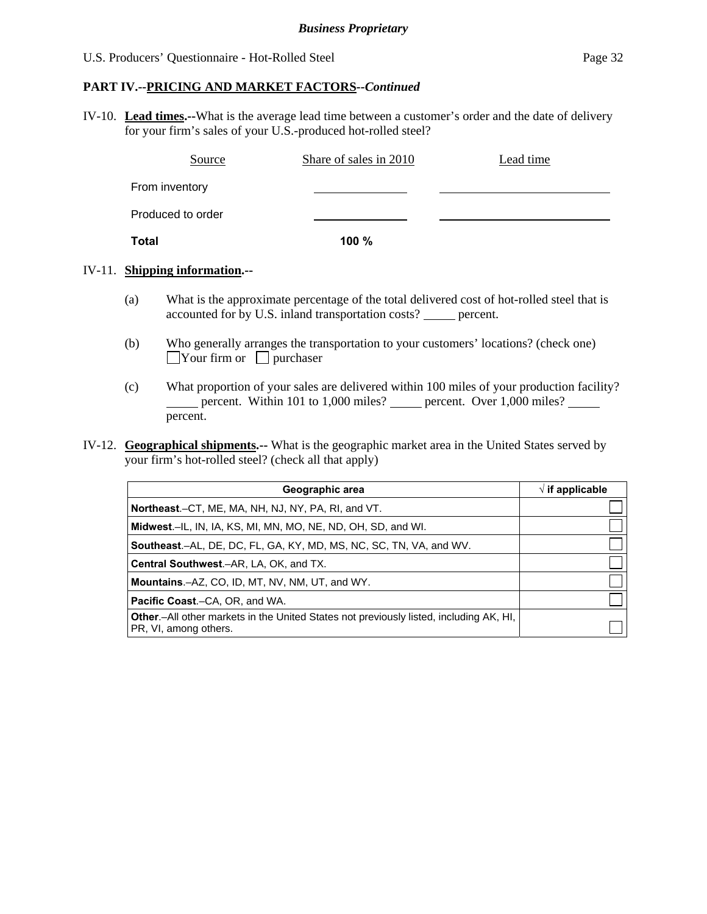#### **PART IV.--PRICING AND MARKET FACTORS***--Continued*

IV-10. **Lead times.--**What is the average lead time between a customer's order and the date of delivery for your firm's sales of your U.S.-produced hot-rolled steel?

| Source            | Share of sales in 2010 | Lead time |
|-------------------|------------------------|-----------|
| From inventory    |                        |           |
| Produced to order |                        |           |
| Total             | 100 $%$                |           |

#### IV-11. **Shipping information.--**

- (a) What is the approximate percentage of the total delivered cost of hot-rolled steel that is accounted for by U.S. inland transportation costs? \_\_\_\_\_ percent.
- (b) Who generally arranges the transportation to your customers' locations? (check one)  $\Box$ Your firm or  $\Box$  purchaser
- (c) What proportion of your sales are delivered within 100 miles of your production facility? percent. Within 101 to 1,000 miles? percent. Over 1,000 miles? percent.
- IV-12. **Geographical shipments.--** What is the geographic market area in the United States served by your firm's hot-rolled steel? (check all that apply)

| Geographic area                                                                                                         | $\sqrt{}$ if applicable |
|-------------------------------------------------------------------------------------------------------------------------|-------------------------|
| <b>Northeast.</b> –CT, ME, MA, NH, NJ, NY, PA, RI, and VT.                                                              |                         |
| <b>Midwest.</b> –IL, IN, IA, KS, MI, MN, MO, NE, ND, OH, SD, and WI.                                                    |                         |
| <b>Southeast.–AL, DE, DC, FL, GA, KY, MD, MS, NC, SC, TN, VA, and WV.</b>                                               |                         |
| <b>Central Southwest.–AR, LA, OK, and TX.</b>                                                                           |                         |
| <b>Mountains.-AZ, CO, ID, MT, NV, NM, UT, and WY.</b>                                                                   |                         |
| <b>Pacific Coast.–CA, OR, and WA.</b>                                                                                   |                         |
| <b>Other</b> - All other markets in the United States not previously listed, including AK, HI,<br>PR, VI, among others. |                         |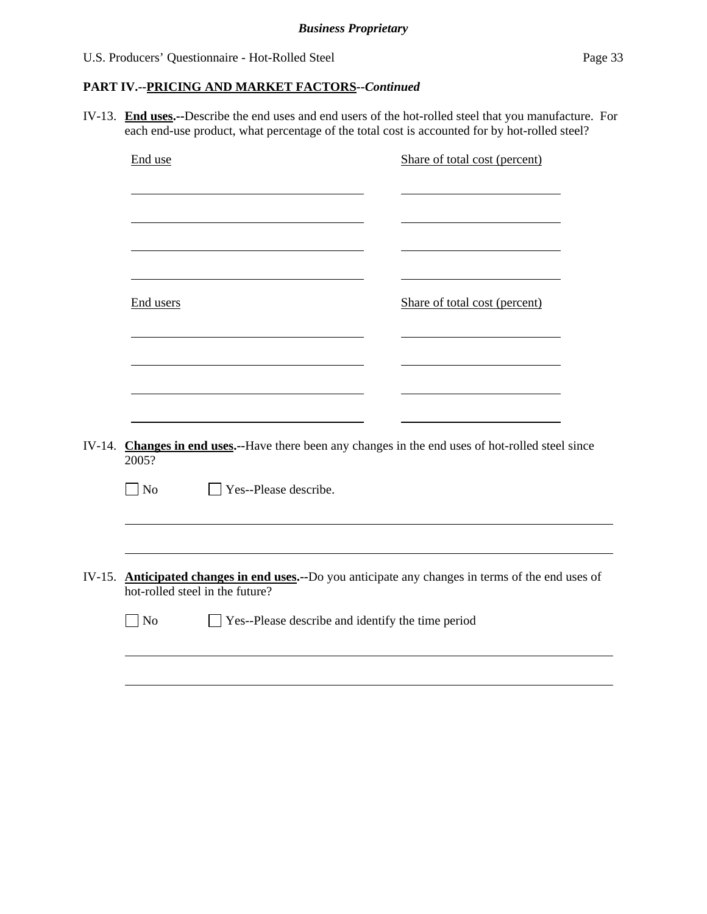# **PART IV.--PRICING AND MARKET FACTORS***--Continued*

IV-13. **End uses.--**Describe the end uses and end users of the hot-rolled steel that you manufacture. For each end-use product, what percentage of the total cost is accounted for by hot-rolled steel?

| End use            |                                                          | Share of total cost (percent)                                                                      |
|--------------------|----------------------------------------------------------|----------------------------------------------------------------------------------------------------|
| End users          |                                                          | Share of total cost (percent)                                                                      |
|                    |                                                          |                                                                                                    |
| 2005?<br>$\neg$ No | Yes--Please describe.                                    | IV-14. Changes in end uses.--Have there been any changes in the end uses of hot-rolled steel since |
| $\Box$ No          | hot-rolled steel in the future?                          | IV-15. Anticipated changes in end uses.--Do you anticipate any changes in terms of the end uses of |
|                    | $\Box$ Yes--Please describe and identify the time period |                                                                                                    |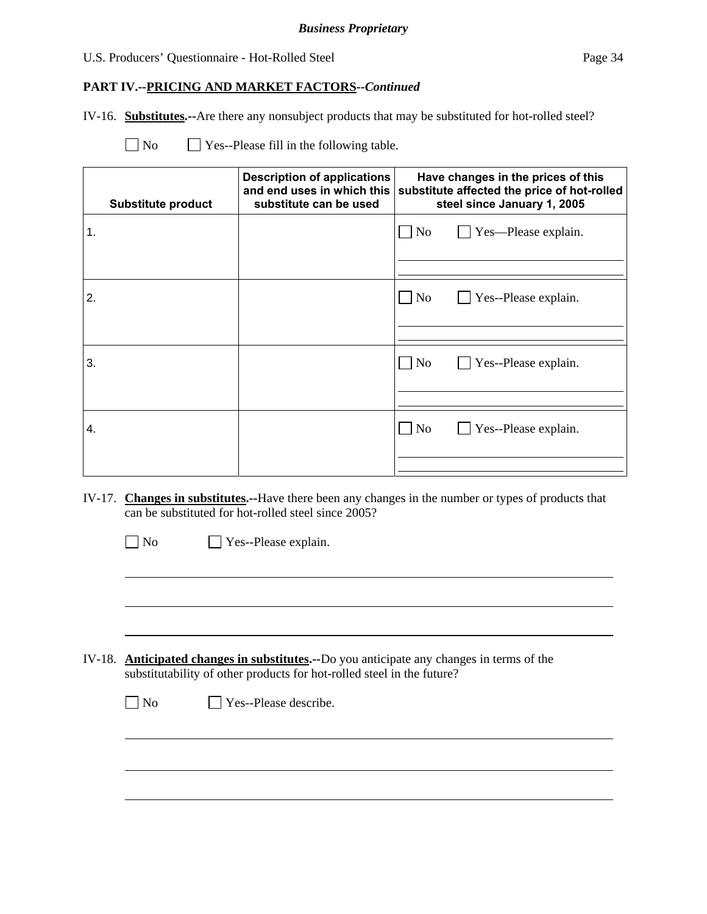# **PART IV.--PRICING AND MARKET FACTORS***--Continued*

IV-16. **Substitutes.--**Are there any nonsubject products that may be substituted for hot-rolled steel?

| N <sub>o</sub> |  |  | $\Box$ Yes--Please fill in the following table. |
|----------------|--|--|-------------------------------------------------|
|----------------|--|--|-------------------------------------------------|

|    | <b>Substitute product</b> | <b>Description of applications</b><br>and end uses in which this<br>substitute can be used | Have changes in the prices of this<br>substitute affected the price of hot-rolled<br>steel since January 1, 2005 |
|----|---------------------------|--------------------------------------------------------------------------------------------|------------------------------------------------------------------------------------------------------------------|
| 1. |                           |                                                                                            | $\Box$ Yes—Please explain.<br>$\overline{N}$                                                                     |
|    |                           |                                                                                            |                                                                                                                  |
| 2. |                           |                                                                                            | $\Box$ No<br>$\Box$ Yes--Please explain.                                                                         |
|    |                           |                                                                                            |                                                                                                                  |
| 3. |                           |                                                                                            | N <sub>0</sub><br>$\Box$ Yes--Please explain.                                                                    |
|    |                           |                                                                                            |                                                                                                                  |
| 4. |                           |                                                                                            | $\Box$ Yes--Please explain.<br>$\overline{\rm No}$                                                               |
|    |                           |                                                                                            |                                                                                                                  |

- IV-17. **Changes in substitutes.--**Have there been any changes in the number or types of products that can be substituted for hot-rolled steel since 2005?
	- No Yes--Please explain.  $\overline{a}$
- IV-18. **Anticipated changes in substitutes.--**Do you anticipate any changes in terms of the substitutability of other products for hot-rolled steel in the future?

| $\Box$ No | $\Box$ Yes--Please describe. |
|-----------|------------------------------|
|           |                              |

 $\overline{\phantom{a}}$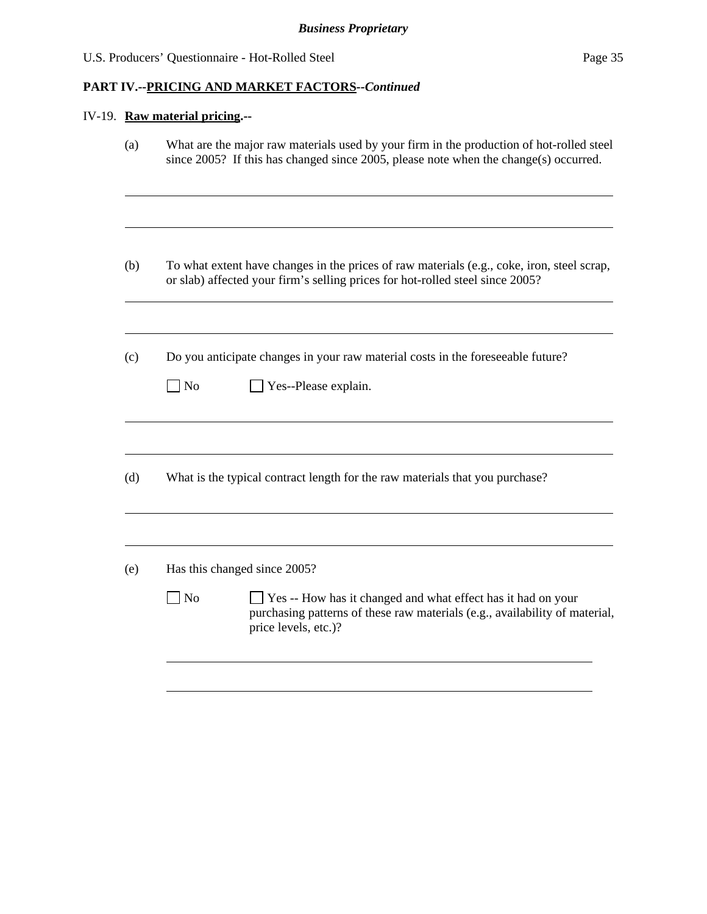# **PART IV.--PRICING AND MARKET FACTORS***--Continued*

# IV-19. **Raw material pricing.--**

| (a) | What are the major raw materials used by your firm in the production of hot-rolled steel<br>since 2005? If this has changed since 2005, please note when the change(s) occurred. |
|-----|----------------------------------------------------------------------------------------------------------------------------------------------------------------------------------|
| (b) | To what extent have changes in the prices of raw materials (e.g., coke, iron, steel scrap,<br>or slab) affected your firm's selling prices for hot-rolled steel since 2005?      |
| (c) | Do you anticipate changes in your raw material costs in the foreseeable future?<br>$\Box$ No<br>Yes--Please explain.                                                             |
| (d) | What is the typical contract length for the raw materials that you purchase?                                                                                                     |
|     |                                                                                                                                                                                  |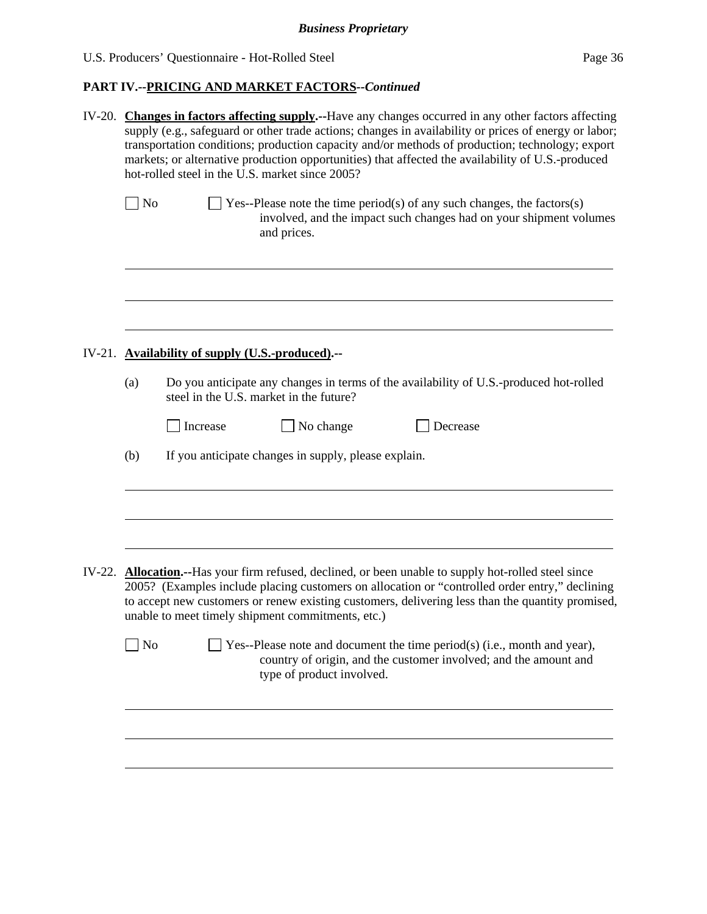| IV-20. Changes in factors affecting supply.--Have any changes occurred in any other factors affecting<br>supply (e.g., safeguard or other trade actions; changes in availability or prices of energy or labor;<br>transportation conditions; production capacity and/or methods of production; technology; export<br>markets; or alternative production opportunities) that affected the availability of U.S.-produced<br>hot-rolled steel in the U.S. market since 2005? |                                                                                                                                                                                                                                                                                                                                                                         |  |  |  |
|---------------------------------------------------------------------------------------------------------------------------------------------------------------------------------------------------------------------------------------------------------------------------------------------------------------------------------------------------------------------------------------------------------------------------------------------------------------------------|-------------------------------------------------------------------------------------------------------------------------------------------------------------------------------------------------------------------------------------------------------------------------------------------------------------------------------------------------------------------------|--|--|--|
| $\vert$ No                                                                                                                                                                                                                                                                                                                                                                                                                                                                | Yes--Please note the time period(s) of any such changes, the factors(s)<br>involved, and the impact such changes had on your shipment volumes<br>and prices.                                                                                                                                                                                                            |  |  |  |
|                                                                                                                                                                                                                                                                                                                                                                                                                                                                           |                                                                                                                                                                                                                                                                                                                                                                         |  |  |  |
|                                                                                                                                                                                                                                                                                                                                                                                                                                                                           | IV-21. Availability of supply (U.S.-produced).--                                                                                                                                                                                                                                                                                                                        |  |  |  |
| (a)                                                                                                                                                                                                                                                                                                                                                                                                                                                                       | Do you anticipate any changes in terms of the availability of U.S.-produced hot-rolled<br>steel in the U.S. market in the future?                                                                                                                                                                                                                                       |  |  |  |
|                                                                                                                                                                                                                                                                                                                                                                                                                                                                           | Increase<br>No change<br>Decrease                                                                                                                                                                                                                                                                                                                                       |  |  |  |
| (b)                                                                                                                                                                                                                                                                                                                                                                                                                                                                       | If you anticipate changes in supply, please explain.                                                                                                                                                                                                                                                                                                                    |  |  |  |
|                                                                                                                                                                                                                                                                                                                                                                                                                                                                           |                                                                                                                                                                                                                                                                                                                                                                         |  |  |  |
|                                                                                                                                                                                                                                                                                                                                                                                                                                                                           | IV-22. <b>Allocation.</b> --Has your firm refused, declined, or been unable to supply hot-rolled steel since<br>2005? (Examples include placing customers on allocation or "controlled order entry," declining<br>to accept new customers or renew existing customers, delivering less than the quantity promised,<br>unable to meet timely shipment commitments, etc.) |  |  |  |
| No                                                                                                                                                                                                                                                                                                                                                                                                                                                                        | Yes--Please note and document the time period(s) (i.e., month and year),<br>country of origin, and the customer involved; and the amount and<br>type of product involved.                                                                                                                                                                                               |  |  |  |
|                                                                                                                                                                                                                                                                                                                                                                                                                                                                           |                                                                                                                                                                                                                                                                                                                                                                         |  |  |  |
|                                                                                                                                                                                                                                                                                                                                                                                                                                                                           |                                                                                                                                                                                                                                                                                                                                                                         |  |  |  |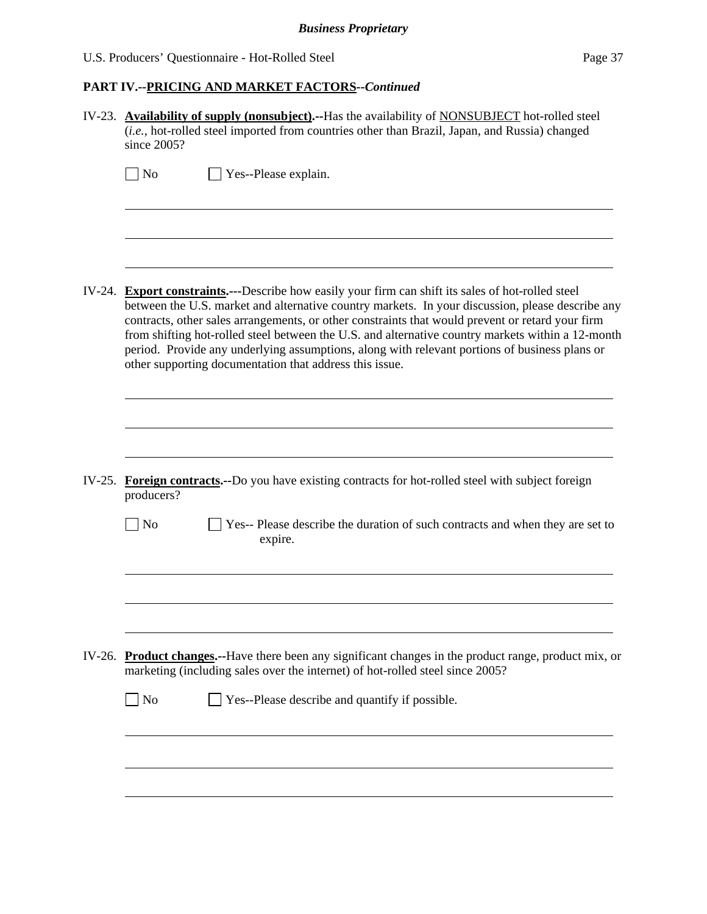| IV-23. Availability of supply (nonsubject).--Has the availability of NONSUBJECT hot-rolled steel<br>(i.e., hot-rolled steel imported from countries other than Brazil, Japan, and Russia) changed<br>since 2005?                                                                                                                                                                                                                                                                                                                                                            |  |  |  |  |
|-----------------------------------------------------------------------------------------------------------------------------------------------------------------------------------------------------------------------------------------------------------------------------------------------------------------------------------------------------------------------------------------------------------------------------------------------------------------------------------------------------------------------------------------------------------------------------|--|--|--|--|
| $\overline{\phantom{a}}$ No<br>Yes--Please explain.                                                                                                                                                                                                                                                                                                                                                                                                                                                                                                                         |  |  |  |  |
|                                                                                                                                                                                                                                                                                                                                                                                                                                                                                                                                                                             |  |  |  |  |
| IV-24. Export constraints.---Describe how easily your firm can shift its sales of hot-rolled steel<br>between the U.S. market and alternative country markets. In your discussion, please describe any<br>contracts, other sales arrangements, or other constraints that would prevent or retard your firm<br>from shifting hot-rolled steel between the U.S. and alternative country markets within a 12-month<br>period. Provide any underlying assumptions, along with relevant portions of business plans or<br>other supporting documentation that address this issue. |  |  |  |  |
|                                                                                                                                                                                                                                                                                                                                                                                                                                                                                                                                                                             |  |  |  |  |
|                                                                                                                                                                                                                                                                                                                                                                                                                                                                                                                                                                             |  |  |  |  |
| IV-25. Foreign contracts.--Do you have existing contracts for hot-rolled steel with subject foreign<br>producers?                                                                                                                                                                                                                                                                                                                                                                                                                                                           |  |  |  |  |
| Yes-- Please describe the duration of such contracts and when they are set to<br>$\Box$ No<br>expire.                                                                                                                                                                                                                                                                                                                                                                                                                                                                       |  |  |  |  |
|                                                                                                                                                                                                                                                                                                                                                                                                                                                                                                                                                                             |  |  |  |  |
| IV-26. Product changes.--Have there been any significant changes in the product range, product mix, or<br>marketing (including sales over the internet) of hot-rolled steel since 2005?                                                                                                                                                                                                                                                                                                                                                                                     |  |  |  |  |
| $\Box$ No<br>Yes--Please describe and quantify if possible.                                                                                                                                                                                                                                                                                                                                                                                                                                                                                                                 |  |  |  |  |
|                                                                                                                                                                                                                                                                                                                                                                                                                                                                                                                                                                             |  |  |  |  |
|                                                                                                                                                                                                                                                                                                                                                                                                                                                                                                                                                                             |  |  |  |  |
|                                                                                                                                                                                                                                                                                                                                                                                                                                                                                                                                                                             |  |  |  |  |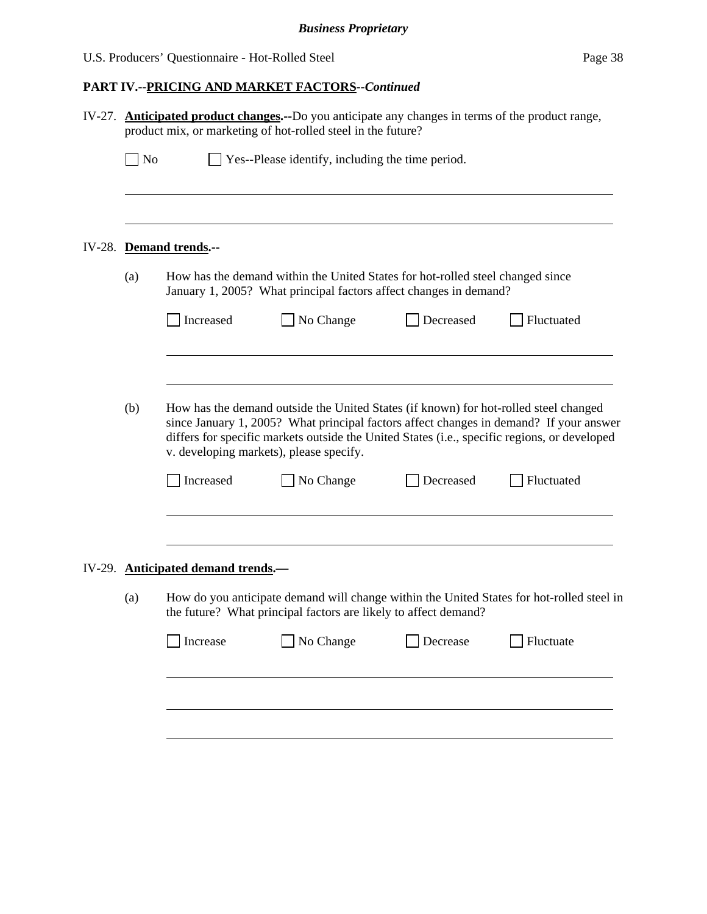| <b>Anticipated product changes.</b> --Do you anticipate any changes in terms of the product range,<br>IV-27.<br>product mix, or marketing of hot-rolled steel in the future? |                                                                                                                                                                     |                                         |                                                                                                                                                                                      |           |                                                                                        |
|------------------------------------------------------------------------------------------------------------------------------------------------------------------------------|---------------------------------------------------------------------------------------------------------------------------------------------------------------------|-----------------------------------------|--------------------------------------------------------------------------------------------------------------------------------------------------------------------------------------|-----------|----------------------------------------------------------------------------------------|
|                                                                                                                                                                              | $\Box$ No                                                                                                                                                           |                                         | $\perp$ Yes--Please identify, including the time period.                                                                                                                             |           |                                                                                        |
|                                                                                                                                                                              |                                                                                                                                                                     |                                         |                                                                                                                                                                                      |           |                                                                                        |
|                                                                                                                                                                              |                                                                                                                                                                     | IV-28. Demand trends.--                 |                                                                                                                                                                                      |           |                                                                                        |
|                                                                                                                                                                              | (a)                                                                                                                                                                 |                                         | How has the demand within the United States for hot-rolled steel changed since<br>January 1, 2005? What principal factors affect changes in demand?                                  |           |                                                                                        |
|                                                                                                                                                                              |                                                                                                                                                                     | Increased                               | No Change                                                                                                                                                                            | Decreased | Fluctuated                                                                             |
|                                                                                                                                                                              |                                                                                                                                                                     |                                         |                                                                                                                                                                                      |           |                                                                                        |
|                                                                                                                                                                              | (b)                                                                                                                                                                 | v. developing markets), please specify. | How has the demand outside the United States (if known) for hot-rolled steel changed<br>differs for specific markets outside the United States (i.e., specific regions, or developed |           | since January 1, 2005? What principal factors affect changes in demand? If your answer |
|                                                                                                                                                                              |                                                                                                                                                                     | Increased                               | No Change                                                                                                                                                                            | Decreased | Fluctuated                                                                             |
|                                                                                                                                                                              |                                                                                                                                                                     | IV-29. Anticipated demand trends.       |                                                                                                                                                                                      |           |                                                                                        |
|                                                                                                                                                                              | How do you anticipate demand will change within the United States for hot-rolled steel in<br>(a)<br>the future? What principal factors are likely to affect demand? |                                         |                                                                                                                                                                                      |           |                                                                                        |
|                                                                                                                                                                              |                                                                                                                                                                     | Increase                                | No Change                                                                                                                                                                            | Decrease  | Fluctuate                                                                              |
|                                                                                                                                                                              |                                                                                                                                                                     |                                         |                                                                                                                                                                                      |           |                                                                                        |
|                                                                                                                                                                              |                                                                                                                                                                     |                                         |                                                                                                                                                                                      |           |                                                                                        |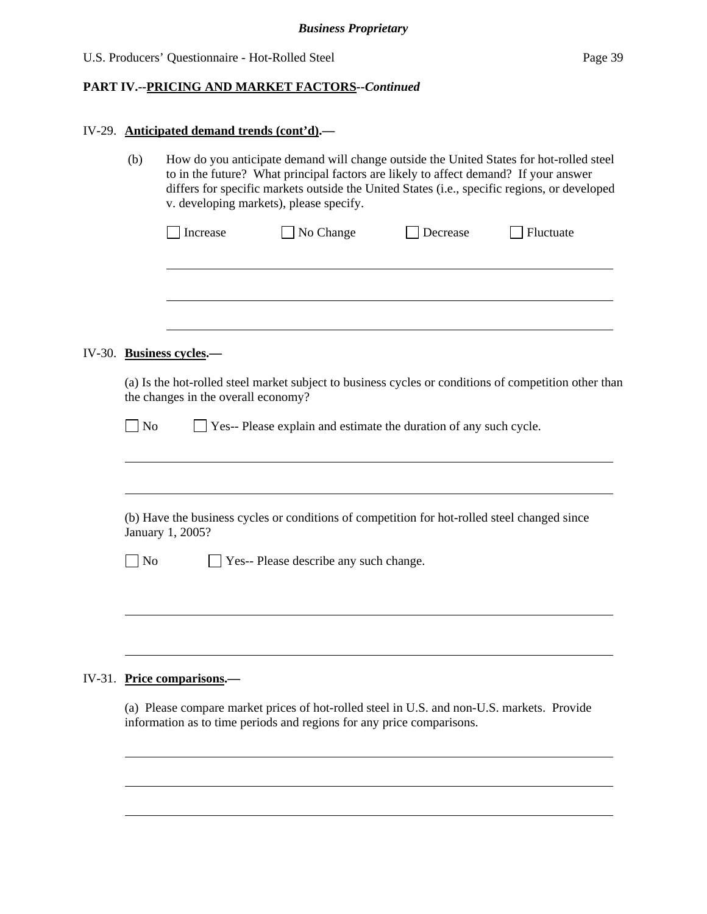|  | IV-29. Anticipated demand trends (cont'd).—                                                                      |                                                                                                                                                                                                                                                                                                                            |                                                                                                                                                                     |          |           |  |  |
|--|------------------------------------------------------------------------------------------------------------------|----------------------------------------------------------------------------------------------------------------------------------------------------------------------------------------------------------------------------------------------------------------------------------------------------------------------------|---------------------------------------------------------------------------------------------------------------------------------------------------------------------|----------|-----------|--|--|
|  | (b)                                                                                                              | How do you anticipate demand will change outside the United States for hot-rolled steel<br>to in the future? What principal factors are likely to affect demand? If your answer<br>differs for specific markets outside the United States (i.e., specific regions, or developed<br>v. developing markets), please specify. |                                                                                                                                                                     |          |           |  |  |
|  |                                                                                                                  | Increase                                                                                                                                                                                                                                                                                                                   | No Change                                                                                                                                                           | Decrease | Fluctuate |  |  |
|  |                                                                                                                  |                                                                                                                                                                                                                                                                                                                            |                                                                                                                                                                     |          |           |  |  |
|  |                                                                                                                  | IV-30. Business cycles.-                                                                                                                                                                                                                                                                                                   |                                                                                                                                                                     |          |           |  |  |
|  |                                                                                                                  | (a) Is the hot-rolled steel market subject to business cycles or conditions of competition other than<br>the changes in the overall economy?                                                                                                                                                                               |                                                                                                                                                                     |          |           |  |  |
|  | $\overline{\phantom{a}}$ No                                                                                      |                                                                                                                                                                                                                                                                                                                            | Yes-- Please explain and estimate the duration of any such cycle.                                                                                                   |          |           |  |  |
|  | (b) Have the business cycles or conditions of competition for hot-rolled steel changed since<br>January 1, 2005? |                                                                                                                                                                                                                                                                                                                            |                                                                                                                                                                     |          |           |  |  |
|  | N <sub>o</sub>                                                                                                   | Yes-- Please describe any such change.                                                                                                                                                                                                                                                                                     |                                                                                                                                                                     |          |           |  |  |
|  |                                                                                                                  |                                                                                                                                                                                                                                                                                                                            |                                                                                                                                                                     |          |           |  |  |
|  |                                                                                                                  | IV-31. Price comparisons.-                                                                                                                                                                                                                                                                                                 |                                                                                                                                                                     |          |           |  |  |
|  |                                                                                                                  |                                                                                                                                                                                                                                                                                                                            | (a) Please compare market prices of hot-rolled steel in U.S. and non-U.S. markets. Provide<br>information as to time periods and regions for any price comparisons. |          |           |  |  |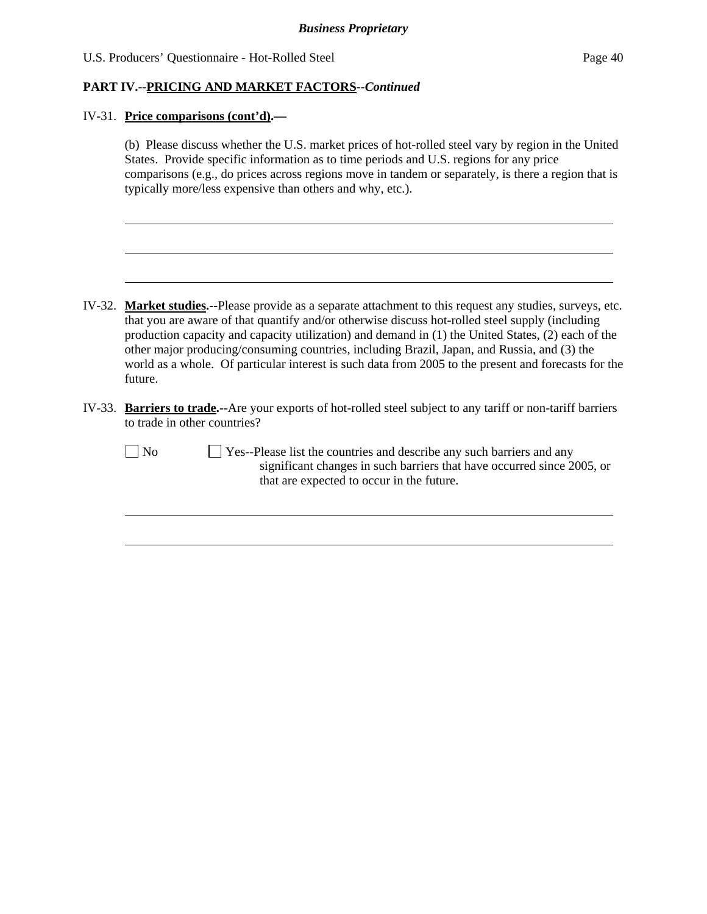### **PART IV.--PRICING AND MARKET FACTORS***--Continued*

#### IV-31. **Price comparisons (cont'd).—**

 (b) Please discuss whether the U.S. market prices of hot-rolled steel vary by region in the United States. Provide specific information as to time periods and U.S. regions for any price comparisons (e.g., do prices across regions move in tandem or separately, is there a region that is typically more/less expensive than others and why, etc.).

- IV-32. **Market studies.--**Please provide as a separate attachment to this request any studies, surveys, etc. that you are aware of that quantify and/or otherwise discuss hot-rolled steel supply (including production capacity and capacity utilization) and demand in (1) the United States, (2) each of the other major producing/consuming countries, including Brazil, Japan, and Russia, and (3) the world as a whole. Of particular interest is such data from 2005 to the present and forecasts for the future.
- IV-33. **Barriers to trade.--**Are your exports of hot-rolled steel subject to any tariff or non-tariff barriers to trade in other countries?

l

l

No  $\Box$  Yes--Please list the countries and describe any such barriers and any significant changes in such barriers that have occurred since 2005, or that are expected to occur in the future.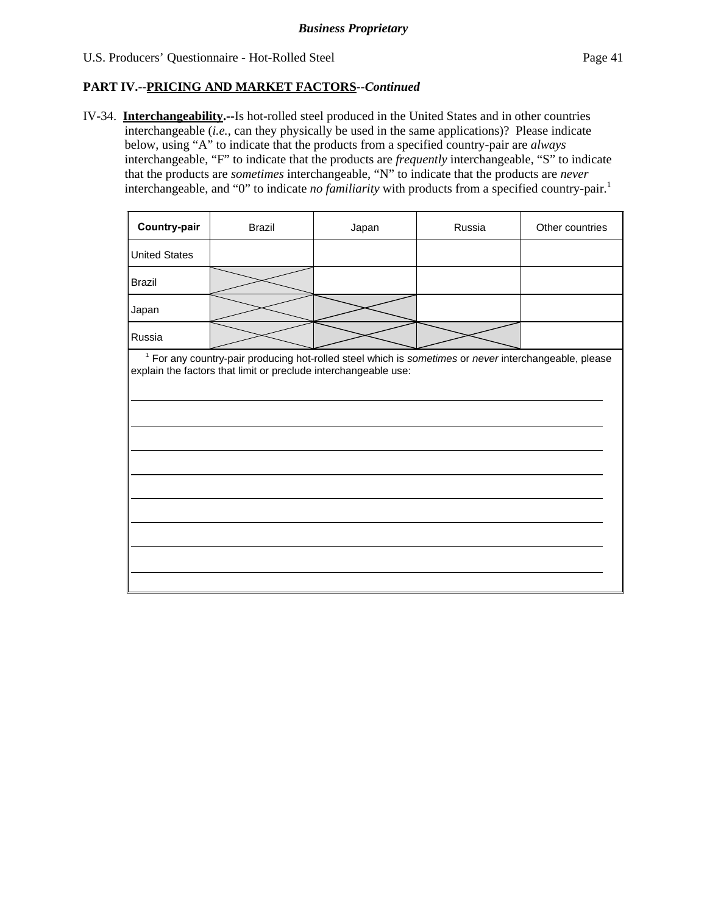# **PART IV.--PRICING AND MARKET FACTORS***--Continued*

IV-34. **Interchangeability.--**Is hot-rolled steel produced in the United States and in other countries interchangeable (*i.e.*, can they physically be used in the same applications)? Please indicate below, using "A" to indicate that the products from a specified country-pair are *always* interchangeable, "F" to indicate that the products are *frequently* interchangeable, "S" to indicate that the products are *sometimes* interchangeable, "N" to indicate that the products are *never* interchangeable, and "0" to indicate *no familiarity* with products from a specified country-pair.<sup>1</sup>

| <sup>1</sup> For any country-pair producing hot-rolled steel which is sometimes or never interchangeable, please<br>explain the factors that limit or preclude interchangeable use: |  |  |  |  |  |  |
|-------------------------------------------------------------------------------------------------------------------------------------------------------------------------------------|--|--|--|--|--|--|
|                                                                                                                                                                                     |  |  |  |  |  |  |
|                                                                                                                                                                                     |  |  |  |  |  |  |